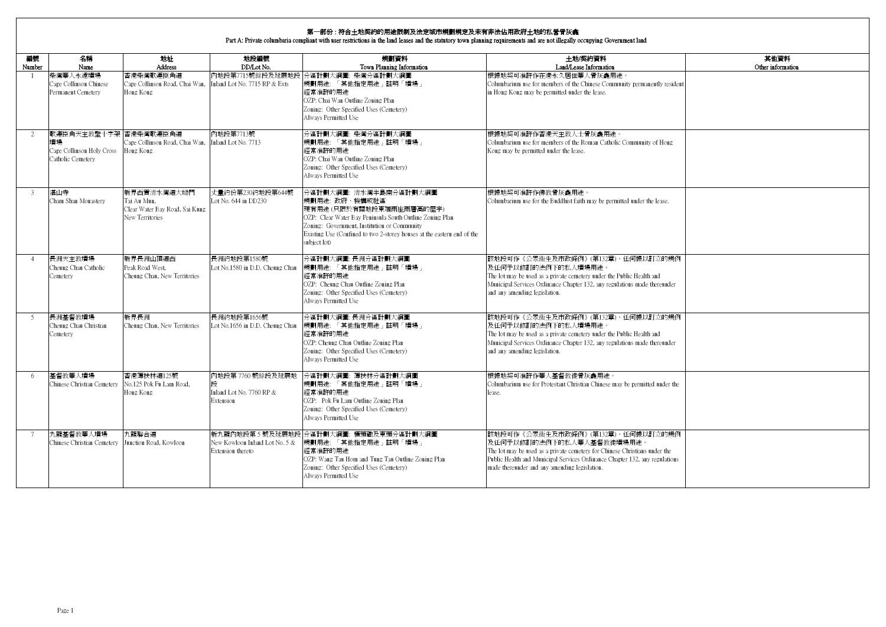| 編號     | 名稱                                                                            | 地址                                                                              | 地段編號                                                                  | 規劃資料                                                                                                                                                                                                                                                                       | 土地/契約資料                                                                                                                                                                                                                                                                      | 其他資料              |
|--------|-------------------------------------------------------------------------------|---------------------------------------------------------------------------------|-----------------------------------------------------------------------|----------------------------------------------------------------------------------------------------------------------------------------------------------------------------------------------------------------------------------------------------------------------------|------------------------------------------------------------------------------------------------------------------------------------------------------------------------------------------------------------------------------------------------------------------------------|-------------------|
| Number | Name                                                                          | <b>Address</b>                                                                  | DD/Lot No.                                                            | Town Planning Information                                                                                                                                                                                                                                                  | Land/Lease Information                                                                                                                                                                                                                                                       | Other information |
|        | 柴灣華人永遠墳場<br>Cape Collinson Chinese<br>Permanent Cemetery                      | 香港柴灣歌連臣角道<br>Cape Collinson Road, Chai Wan,<br>Hong Kong                        | Inland Lot No. 7715 RP & Exts                                         | 內地段第7715號餘段及延展地段 分區計劃大綱圖: 柴灣分區計劃大綱圖<br>規劃用途:「其他指定用途」註明「墳場」<br>經常准許的用涂<br>OZP: Chai Wan Outline Zoning Plan<br>Zoning: Other Specified Uses (Cemetery)<br>Always Permitted Use                                                                                              | 根據地契可准許作在港永久居住華人骨灰龕用涂。<br>Columbarium use for members of the Chinese Community permanently resident<br>in Hong Kong may be permitted under the lease.                                                                                                                        |                   |
|        | 歌連臣角天主教聖十字架 香港柴灣歌連臣角道<br>墳場<br>Cape Collinson Holy Cross<br>Catholic Cemetery | Cape Collinson Road, Chai Wan,<br>Hong Kong                                     | 內地段第7713號<br>Inland Lot No. 7713                                      | 分區計劃大綱圖: 柴灣分區計劃大綱圖<br> 規劃用途: 「其他指定用途」註明「墳場」<br>經常准許的用涂<br>OZP: Chai Wan Outline Zoning Plan<br>Zoning: Other Specified Uses (Cemetery)<br>Always Permitted Use                                                                                                             | 根據地契可准許作香港天主教人士骨灰龕用涂。<br>Columbarium use for members of the Roman Catholic Community of Hong<br>Kong may be permitted under the lease.                                                                                                                                       |                   |
| 3      | 湛山寺<br>Cham Shan Monastery                                                    | 新界西貢清水灣道大坳門<br>Tai Au Mun.<br>Clear Water Bay Road, Sai Kung<br>New Territories | 丈量約份第230約地段第644號<br>Lot No. 644 in DD230                              | 分區計劃大綱圖: 清水灣半島南分區計劃大綱圖<br>規劃用涂: 政府、機構或社區<br>現有用涂(只限於有關地段東端兩座兩層高的屋宇)<br>OZP: Clear Water Bay Peninsula South Outline Zoning Plan<br>Zoning: Government, Institution or Community<br>Existing Use (Confined to two 2-storey houses at the eastern end of the<br>subject lot) | 根據地契可准許作佛教骨灰龕用涂。<br>Columbarium use for the Buddhist faith may be permitted under the lease.                                                                                                                                                                                 |                   |
|        | 長洲天主教墳場<br>Cheung Chau Catholic<br>Cemetery                                   | 新界長洲山頂道西<br>Peak Road West.<br>Cheung Chau, New Territories                     | 長洲約地段第1580號<br>Lot No.1580 in D.D. Cheung Chau                        | 分區計劃大綱圖:長洲分區計劃大綱圖<br>規劃用途:「其他指定用途」註明「墳場」<br>經常准許的用涂<br>OZP: Cheung Chau Outline Zoning Plan<br>Zoning: Other Specified Uses (Cemetery)<br>Always Permitted Use                                                                                                             | 該地段可作《公眾衞生及市政條例》(第132章)、任何據以訂立的規例<br>及任何予以修訂的法例下的私人墳場用涂。<br>The lot may be used as a private cemetery under the Public Health and<br>Municipal Services Ordinance Chapter 132, any regulations made thereunder<br>and any amending legislation.                              |                   |
|        | 長洲基督教墳場<br>Cheung Chau Christian<br>Cemetery                                  | 新界長洲<br>Cheung Chau, New Territories                                            | 長洲約地段第1656號<br>Lot No.1656 in D.D. Cheung Chau                        | 分區計劃大綱圖:長洲分區計劃大綱圖<br> 規劃用途: 「其他指定用途」註明「墳場」<br>經常准許的用涂<br>OZP: Cheung Chau Outline Zoning Plan<br>Zoning: Other Specified Uses (Cemetery)<br>Always Permitted Use                                                                                                           | 該地段可作《公眾衞生及市政條例》(第132章)、任何據以訂立的規例<br>及任何予以修訂的法例下的私人墳場用途。<br>The lot may be used as a private cemetery under the Public Health and<br>Municipal Services Ordinance Chapter 132, any regulations made thereunder<br>and any amending legislation.                              |                   |
| 6      | 基督教華人墳場<br>Chinese Christian Cemetery No.125 Pok Fu Lam Road,                 | 香港薄扶林道125號<br>Hong Kong                                                         | 內地段第7760號餘段及延展地<br>Inland Lot No. 7760 RP &<br>Extension              | 分區計劃大綱圖: 薄扶林分區計劃大綱圖<br>規劃用途:「其他指定用途」註明「墳場」<br>經常准許的用涂<br>OZP: Pok Fu Lam Outline Zoning Plan<br>Zoning: Other Specified Uses (Cemetery)<br>Always Permitted Use                                                                                                            | 根據地契可准許作華人基督教徒骨灰龕用涂。<br>Columbarium use for Protestant Christian Chinese may be permitted under the<br>lease.                                                                                                                                                                |                   |
|        | 九龍基督教華人墳場<br>Chinese Christian Cemetery                                       | 九龍聯合道<br>Junction Road, Kowloon                                                 | 新九龍內地段第5號及延展地自<br>New Kowloon Inland Lot No. 5 &<br>Extension thereto | 没 分區計劃大綱圖: 橫頭磡及東頭分區計劃大綱圖<br>規劃用途:「其他指定用途」註明「墳場」<br>經常准許的用涂<br>OZP: Wang Tau Hom and Tung Tau Outline Zoning Plan<br>Zoning: Other Specified Uses (Cemetery)<br>Always Permitted Use                                                                                        | 該地段可作《公眾衞生及市政條例》(第132章)、任何據以訂立的規例<br>及任何予以修訂的法例下的私人華人基督教徒墳場用途。<br>The lot may be used as a private cemetery for Chinese Christians under the<br>Public Health and Municipal Services Ordinance Chapter 132, any regulations<br>made thereunder and any amending legislation. |                   |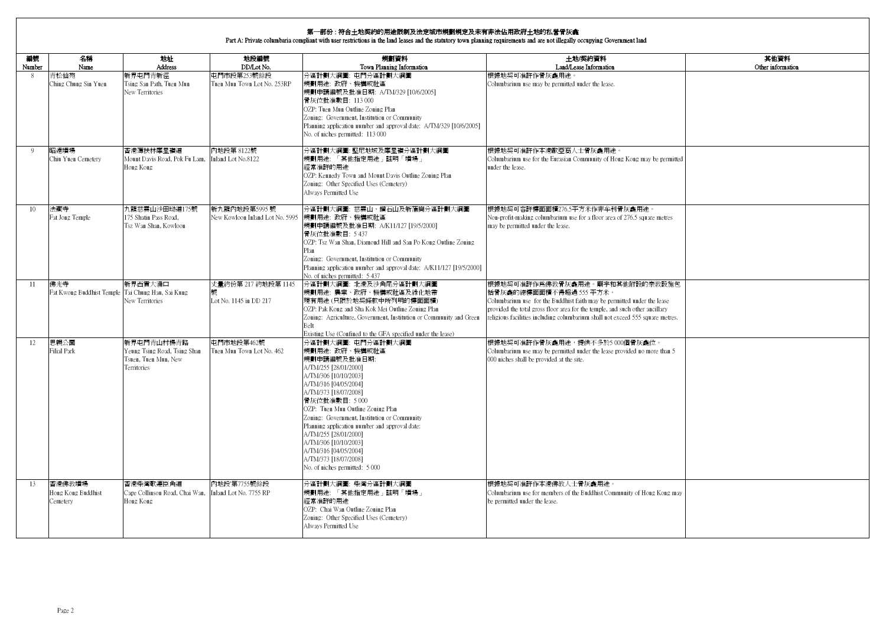| 編號<br>Number    | 名稱<br>Name                               | 地址<br><b>Address</b>                                                                     | 地段編號<br>DD/Lot No.                               | 規劃資料<br>Town Planning Information                                                                                                                                                                                                                                                                                                                                                                                                                       | 土地/契約資料<br>Land/Lease Information                                                                                                                                                                                                                                                                      | 其他資料<br>Other information |
|-----------------|------------------------------------------|------------------------------------------------------------------------------------------|--------------------------------------------------|---------------------------------------------------------------------------------------------------------------------------------------------------------------------------------------------------------------------------------------------------------------------------------------------------------------------------------------------------------------------------------------------------------------------------------------------------------|--------------------------------------------------------------------------------------------------------------------------------------------------------------------------------------------------------------------------------------------------------------------------------------------------------|---------------------------|
| 8               | 青松仙苑<br>Ching Chung Sin Yuen             | 新界屯門青新徑<br>Tsing San Path, Tuen Mun<br>New Territories                                   | 电門市段第253號餘段<br>Tuen Mun Town Lot No. 253RP       | 分區計劃大綱圖: 屯門分區計劃大綱圖<br>規劃用途: 政府、機構或社區<br>規劃申請編號及批准日期: A/TM/329 [10/6/2005]<br>骨灰位批准數目: 113 000<br>OZP: Tuen Mun Outline Zoning Plan<br>Zoning: Government, Institution or Community<br>Planning application number and approval date: A/TM/329 [10/6/2005]<br>No. of niches permitted: 113 000                                                                                                                                                           | 根據地契可准許作骨灰龕用途。<br>Columbarium use may be permitted under the lease.                                                                                                                                                                                                                                    |                           |
| $\overline{Q}$  | 昭遠墳場<br>Chiu Yuen Cemetery               | 香港薄扶林摩星嶺道<br>Mount Davis Road, Pok Fu Lam,<br>Hong Kong                                  | 内地段第 8122號<br>Inland Lot No.8122                 | 分區計劃大綱圖: 堅尼地城及摩星嶺分區計劃大綱圖<br>規劃用途:「其他指定用途」註明「墳場」<br>經常准許的用途<br>OZP: Kennedy Town and Mount Davis Outline Zoning Plan<br>Zoning: Other Specified Uses (Cemetery)<br>Always Permitted Use                                                                                                                                                                                                                                                                  | 根據地契可准許作本港歐亞裔人士骨灰龕用途<br>Columbarium use for the Eurasian Community of Hong Kong may be permitted<br>under the lease.                                                                                                                                                                                   |                           |
| 10 <sup>1</sup> | 法藏寺<br>Fat Jong Temple                   | 九龍慈雲山沙田坳道175號<br>175 Shatin Pass Road,<br>Esz Wan Shan, Kowloon                          | 新九龍內地段第5995 號<br>New Kowloon Inland Lot No. 5995 | 分區計劃大綱圖: 慈雲山、鑽石山及新蒲崗分區計劃大綱圖<br>規劃用涂: 政府、機構或社區<br>規劃申請編號及批准日期: A/K11/127 [19/5/2000]<br>骨灰位批准數目: 5 437<br>OZP: Tsz Wan Shan, Diamond Hill and San Po Kong Outline Zoning<br>Plan<br>Zoning: Government, Institution or Community<br>Planning application number and approval date: A/K11/127 [19/5/2000]<br>No. of niches permitted: 5 437                                                                                                               | 根據地契可容許樓面面積276.5平方米作非牟利骨灰龕用途。<br>Non-profit-making columbarium use for a floor area of 276.5 square metres<br>may be permitted under the lease.                                                                                                                                                        |                           |
| 11              | 佛光寺<br>Fat Kwong Buddhist Temple         | 新界西貢大涌口<br>Tai Chung Hau, Sai Kung<br>New Territories                                    | 丈量約份第 217 約地段第 1145<br>Lot No. 1145 in DD 217    | 分區計劃大綱圖: 北港及沙角尾分區計劃大綱圖<br>規劃用途: 農業、政府、機構或社區及綠化地帶<br>現有用途(只限於地契條款中所列明的樓面面積)<br>OZP: Pak Kong and Sha Kok Mei Outline Zoning Plan<br>Zoning: Agriculture, Government, Institution or Community and Green<br>Belt<br>Existing Use (Confined to the GFA specified under the lease)                                                                                                                                                                          | 根據地契可准許作爲佛教骨灰龕用途。廟宇和其他附設的宗教設施包<br>括骨灰龕的總樓面面積不得超過 555 平方米。<br>Columbarium use for the Buddhist faith may be permitted under the lease<br>provided the total gross floor area for the temple, and such other ancillary<br>religious facilities including columbarium shall not exceed 555 square metres. |                           |
| 12.             | 思親公園<br>Filial Park                      | 新界中門青山村楊青路<br>Yeung Tsing Road, Tsing Shan<br>Tsuen, Tuen Mun, New<br><b>Territories</b> | 中門市地段第462號<br>Tuen Mun Town Lot No. 462          | 分區計劃大綱圖: 中門分區計劃大綱圖<br>規劃用涂: 政府、機構或社區<br>規劃申請編號及批准日期:<br>A/TM/255 [28/01/2000]<br>A/TM/306 [10/10/2003]<br>A/TM/316 [04/05/2004]<br>A/TM/373 [18/07/2008]<br>骨灰位批准數目: 5 000<br>OZP: Tuen Mun Outline Zoning Plan<br>Zoning: Government, Institution or Community<br>Planning application number and approval date:<br>A/TM/255 [28/01/2000]<br>A/TM/306 [10/10/2003]<br>A/TM/316 [04/05/2004]<br>A/TM/373 [18/07/2008]<br>No. of niches permitted: 5 000 | 根據地契可准許作骨灰龕用涂,提供不多於5 000個骨灰龕位。<br>Columbarium use may be permitted under the lease provided no more than 5<br>000 niches shall be provided at the site.                                                                                                                                                |                           |
| 13              | 香港佛教墳場<br>Hong Kong Buddhist<br>Cemetery | 香港柴灣歌連臣角道<br>Cape Collinson Road, Chai Wan,<br>Hong Kong                                 | 內地段'第7755號餘段<br>Inland Lot No. 7755 RP           | 分區計劃大綱圖: 柴灣分區計劃大綱圖<br>規劃用途:「其他指定用途」註明「墳場」<br>經常准許的用涂<br>OZP: Chai Wan Outline Zoning Plan<br>Zoning: Other Specified Uses (Cemetery)<br>Always Permitted Use                                                                                                                                                                                                                                                                                            | 根據地契可准許作本港佛教人士骨灰龕用途。<br>Columbarium use for members of the Buddhist Community of Hong Kong may<br>be permitted under the lease.                                                                                                                                                                        |                           |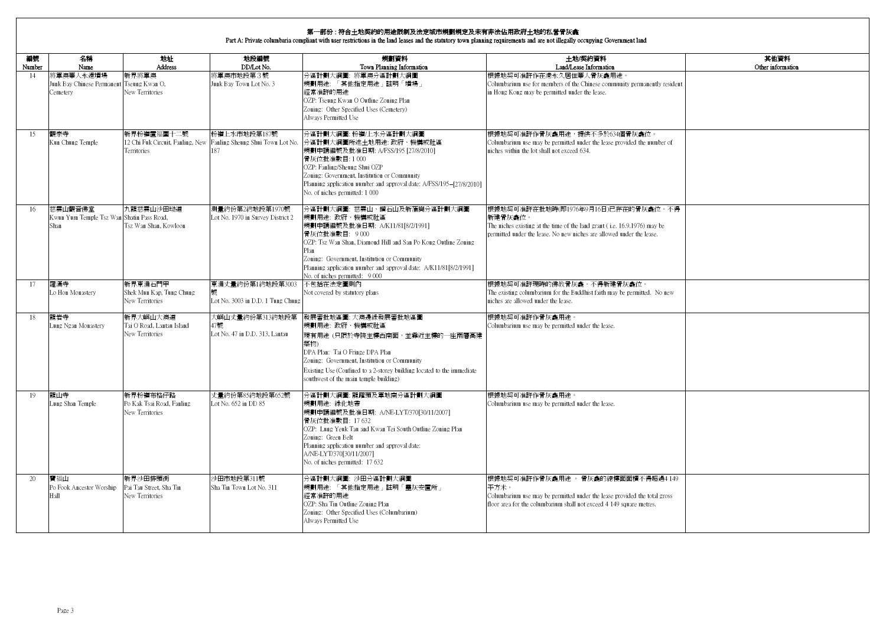| 編號<br>Number    | 名稱<br>Name                                                   | 地址<br><b>Address</b>                                     | 地段編號<br>DD/Lot No.                                                                       | 規劃資料<br>Town Planning Information                                                                                                                                                                                                                                                                                                  | 土地/契約資料<br>Land/Lease Information                                                                                                                                                                    | 其他資料<br>Other information |
|-----------------|--------------------------------------------------------------|----------------------------------------------------------|------------------------------------------------------------------------------------------|------------------------------------------------------------------------------------------------------------------------------------------------------------------------------------------------------------------------------------------------------------------------------------------------------------------------------------|------------------------------------------------------------------------------------------------------------------------------------------------------------------------------------------------------|---------------------------|
| 14              | 將軍澳華人永遠墳場<br>Junk Bay Chinese Permanent<br>Cemetery          | 新界將軍澳<br>Tseung Kwan O,<br>New Territories               | 將軍澳市地段第3號<br>Junk Bay Town Lot No. 3                                                     | 分區計劃大綱圖: 將軍澳分區計劃大綱圖<br>規劃用途: 「其他指定用途」註明「墳場」<br>經常准許的用涂<br>OZP: Tseung Kwan O Outline Zoning Plan<br>Zoning: Other Specified Uses (Cemetery)<br>Always Permitted Use                                                                                                                                                                | 根據地契可准許作在港永久居住華人骨灰龕用途。<br>Columbarium use for members of the Chinese community permanently resident<br>in Hong Kong may be permitted under the lease.                                                |                           |
| 15              | 觀宗寺<br>Kun Chung Temple                                      | 新界粉嶺置福圍十二號<br>Territories                                | 粉嶺上水市地段第187號<br>12 Chi Fuk Circuit, Fanling, New Fanling Sheung Shui Town Lot No.<br>187 | 分區計劃大綱圖: 粉嶺/上水分區計劃大綱圖<br>分區計劃大綱圖所述土地用途: 政府、機構或社區<br>規劃申請編號及批准日期: A/FSS/195 [27/8/2010]<br>骨灰位批准數目:1000<br>OZP: Fanling/Sheung Shui OZP<br>Zoning: Government, Institution or Community<br>Planning application number and approval date: A/FSS/195-[27/8/2010]<br>No. of niches permitted: 1 000                                   | 根據地契可准許作骨灰龕用途,提供不多於634個骨灰龕位。<br>Columbarium use may be permitted under the lease provided the number of<br>niches within the lot shall not exceed 634.                                               |                           |
| 16              | 慈雲山觀音佛堂<br>Kwun Yum Temple Tsz Wan Shatin Pass Road,<br>Shan | 九龍慈雲山沙田坳道<br>Tsz Wan Shan, Kowloon                       | 測量約份第2約地段第1970號<br>Lot No. 1970 in Survey District 2                                     | 分區計劃大綱圖: 慈雲山、鑽石山及新蒲崗分區計劃大綱圖<br>規劃用涂: 政府、機構或社區<br>規劃申請編號及批准日期: A/K11/81[8/2/1991]<br>骨灰位批准數目: 9000<br>OZP: Tsz Wan Shan, Diamond Hill and San Po Kong Outline Zoning<br>Plan<br>Zoning: Government, Institution or Community<br>Planning application number and approval date: A/K11/81[8/2/1991]<br>No. of niches permitted: 9 000 | 根據地契可准許在批地時(即1976年9月16日)已存在的骨灰龕位。不得<br>新建骨灰龕位。<br>The niches existing at the time of the land grant (i.e. 16.9.1976) may be<br>permitted under the lease. No new niches are allowed under the lease. |                           |
| 17              | 羅漢寺<br>Lo Hon Monastery                                      | 新界東涌石門甲<br>Shek Mun Kap, Tung Chung<br>New Territories   | 東涌丈量約份第1約地段第3003<br>Lot No. 3003 in D.D. 1 Tung Chung                                    | 不包括在法定圖則內<br>Not covered by statutory plans                                                                                                                                                                                                                                                                                        | 根據地契可准許現時的佛教骨灰龕。不得新建骨灰龕位。<br>The existing columbarium for the Buddhist faith may be permitted. No new<br>niches are allowed under the lease.                                                         |                           |
| 18              | 龍岩寺<br>Lung Ngan Monastery                                   | 新界大嶼山大澳道<br>Tai O Road, Lantau Island<br>New Territories | 大嶼山丈量約份第313約地段第<br>47號<br>Lot No. 47 in D.D. 313, Lantau                                 | 發展審批地區圖: 大澳邊緣發展審批地區圖<br>規劃用途: 政府、機構或社區<br>現有用途(只限於寺院主樓西南面,並靠近主樓的一座兩層高建<br>築物)<br>DPA Plan: Tai O Fringe DPA Plan<br>Zoning: Government, Institution or Community<br>Existing Use (Confined to a 2-storey building located to the immediate<br>southwest of the main temple building)                                               | 根據地契可准許作骨灰龕用途。<br>Columbarium use may be permitted under the lease.                                                                                                                                  |                           |
| 19              | 龍山寺<br>Lung Shan Temple                                      | 新界粉嶺布格仔路<br>Po Kak Tsai Road, Fanling<br>New Territories | 丈量約份第85約地段第652號<br>Lot No. 652 in DD 85                                                  | 分區計劃大綱圖: 龍躍頭及軍地南分區計劃大綱圖<br>規劃用途: 綠化地帶<br>規劃申請編號及批准日期: A/NE-LYT/370[30/11/2007]<br>骨灰位批准數目: 17 632<br>OZP: Lung Yeuk Tau and Kwan Tei South Outline Zoning Plan<br>Zoning: Green Belt<br>Planning application number and approval date:<br>A/NE-LYT/370[30/11/2007]<br>No. of niches permitted: 17 632                              | 根據地契可准許作骨灰龕用途。<br>Columbarium use may be permitted under the lease.                                                                                                                                  |                           |
| 20 <sub>o</sub> | 寶福山<br>Po Fook Ancestor Worship<br>Hall                      | 新界沙田排頭街<br>Pai Tau Street, Sha Tin<br>New Territories    | 沙田市地段第311號<br>Sha Tin Town Lot No. 311                                                   | 分區計劃大綱圖: 沙田分區計劃大綱圖<br>規劃用途: 「其他指定用途」註明「靈灰安置所」<br>經常准許的用涂<br>OZP: Sha Tin Outline Zoning Plan<br>Zoning: Other Specified Uses (Columbarium)<br>Always Permitted Use                                                                                                                                                                 | 根據地契可准許作骨灰龕用途。骨灰龕的總樓面面積不得超過4 149<br>平方米。<br>Columbarium use may be permitted under the lease provided the total gross<br>floor area for the columbarium shall not exceed 4 149 square metres.        |                           |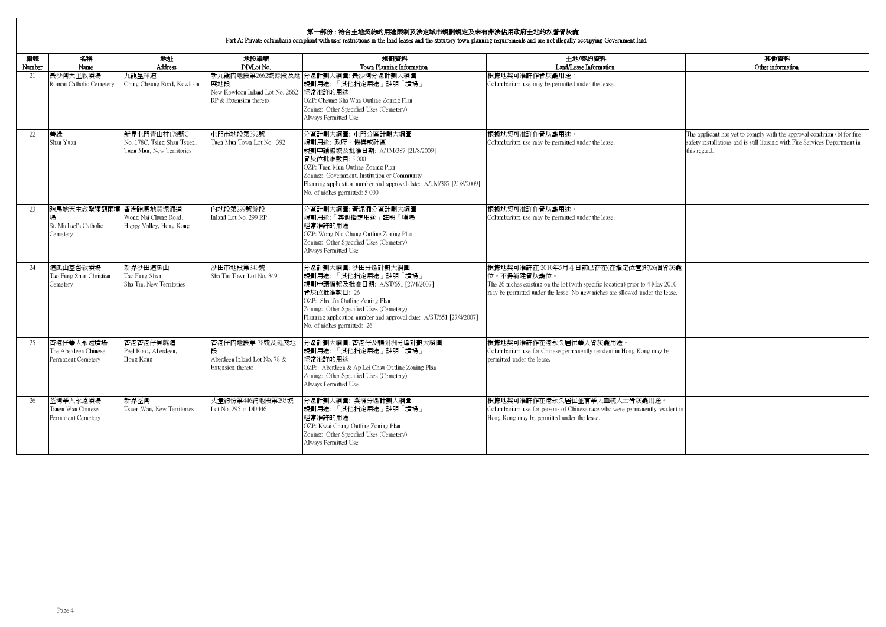| 編號<br>Number | 名稱<br>Name                                              | 地址<br>Address                                                            | 地段編號<br>DD/Lot No.                                                       | 規劃資料<br>Town Planning Information                                                                                                                                                                                                                                                       | 土地/契約資料<br>Land/Lease Information                                                                                                                                                                                     | 其他資料<br>Other information                                                                                                                                               |
|--------------|---------------------------------------------------------|--------------------------------------------------------------------------|--------------------------------------------------------------------------|-----------------------------------------------------------------------------------------------------------------------------------------------------------------------------------------------------------------------------------------------------------------------------------------|-----------------------------------------------------------------------------------------------------------------------------------------------------------------------------------------------------------------------|-------------------------------------------------------------------------------------------------------------------------------------------------------------------------|
| 21           | 長沙灣天主教墳場<br>Roman Catholic Cemetery                     | 九龍早祥道<br>Ching Cheung Road, Kowloon                                      | 展地段<br>New Kowloon Inland Lot No. 2662 經常准許的用涂<br>RP & Extension thereto | 新九龍內地段第2662號餘段及延 分區計劃大綱圖: 長沙灣分區計劃大綱圖<br>規劃用途:「其他指定用途」註明「墳場」<br>OZP: Cheung Sha Wan Outline Zoning Plan<br>Zoning: Other Specified Uses (Cemetery)<br>Always Permitted Use                                                                                                               | 根據地契可准許作骨灰龕用涂。<br>Columbarium use may be permitted under the lease.                                                                                                                                                   |                                                                                                                                                                         |
| 22.          | 善綠<br>Shan Yuan                                         | 新界市門青山村178號C<br>No. 178C, Tsing Shan Tsuen,<br>Tuen Mun, New Territories | 屯門市地段第392號<br>Tuen Mun Town Lot No. 392                                  | 分區計劃大綱圖: 屯門分區計劃大綱圖<br>規劃用途: 政府、機構或社區<br>規劃申請編號及批准日期: A/TM/387 [21/8/2009]<br>骨灰位批准數目:5000<br>OZP: Tuen Mun Outline Zoning Plan<br>Zoning: Government, Institution or Community<br>Planning application number and approval date: A/TM/387 [21/8/2009]<br>No. of niches permitted: 5 000 | 根據地契可准許作骨灰龕用涂。<br>Columbarium use may be permitted under the lease.                                                                                                                                                   | The applicant has yet to comply with the approval condition (b) for fire<br>safety installations and is still liaising with Fire Services Department in<br>this regard. |
| 23           | 跑馬地天主教聖彌額爾墳<br>St. Michael's Catholic<br>Cemetery       | 香港跑馬地黄泥涌道<br>Wong Nai Chung Road,<br>Happy Valley, Hong Kong             | 内地段第299號餘段<br>Inland Lot No. 299 RP                                      | 分區計劃大綱圖: 黃泥涌分區計劃大綱圖<br>規劃用途:「其他指定用途」註明「墳場」<br>經常准許的用涂<br>OZP: Wong Nai Chung Outline Zoning Plan<br>Zoning: Other Specified Uses (Cemetery)<br>Always Permitted Use                                                                                                                     | 根據地契可准許作骨灰龕用涂。<br>Columbarium use may be permitted under the lease.                                                                                                                                                   |                                                                                                                                                                         |
| 24           | 道風山基督教墳場<br>Tao Fung Shan Christian<br>Cemetery         | 新界沙田道風山<br>Tao Fung Shan,<br>Sha Tin, New Territories                    | 沙田市地段第349號<br>Sha Tin Town Lot No. 349                                   | 分區計劃大綱圖: 沙田分區計劃大綱圖<br>規劃用途:「其他指定用途」註明「墳場」<br>規劃申請編號及批准日期: A/ST/651 [27/4/2007]<br>骨灰位批准數目: 26<br>OZP: Sha Tin Outline Zoning Plan<br>Zoning: Other Specified Uses (Cemetery)<br>Planning application number and approval date: A/ST/651 [27/4/2007]<br>No. of niches permitted: 26      | 根據地契可准許在 2010年5月4日前已存在(在指定位置)的26個骨灰龕<br>位。不得新建骨灰龕位。<br>The 26 niches existing on the lot (with specific location) prior to 4 May 2010<br>may be permitted under the lease. No new niches are allowed under the lease. |                                                                                                                                                                         |
| 25           | 香港仔華人永遠墳場<br>The Aberdeen Chinese<br>Permanent Cemetery | 香港香港仔貝璐道<br>Peel Road, Aberdeen.<br>Hong Kong                            | 香港仔内地段第78號及延展地<br>段<br>Aberdeen Inland Lot No. 78 &<br>Extension thereto | 分區計劃大綱圖: 香港仔及鴨脷洲分區計劃大綱圖<br>規劃用途:「其他指定用途」註明「墳場」<br>經常准許的用涂<br>OZP: Aberdeen & Ap Lei Chau Outline Zoning Plan<br>Zoning: Other Specified Uses (Cemetery)<br>Always Permitted Use                                                                                                         | 根據地契可准許作在港永久居住華人骨灰龕用途。<br>Columbarium use for Chinese permanently resident in Hong Kong may be<br>permitted under the lease.                                                                                          |                                                                                                                                                                         |
| 26           | 荃灣華人永遠墳場<br>Tsuen Wan Chinese<br>Permanent Cemetery     | 新界荃灣<br>Tsuen Wan, New Territories                                       | 丈量約份第446約地段第295號<br>Lot No. 295 in DD446                                 | 分區計劃大綱圖: 葵涌分區計劃大綱圖<br>規劃用途:「其他指定用途」註明「墳場」<br>經常准許的用涂<br>OZP: Kwai Chung Outline Zoning Plan<br>Zoning: Other Specified Uses (Cemetery)<br>Always Permitted Use                                                                                                                          | 根據地契可准許作在港永久居住並有華人血統人士骨灰龕用涂。<br>Columbarium use for persons of Chinese race who were permanently resident in<br>Hong Kong may be permitted under the lease.                                                           |                                                                                                                                                                         |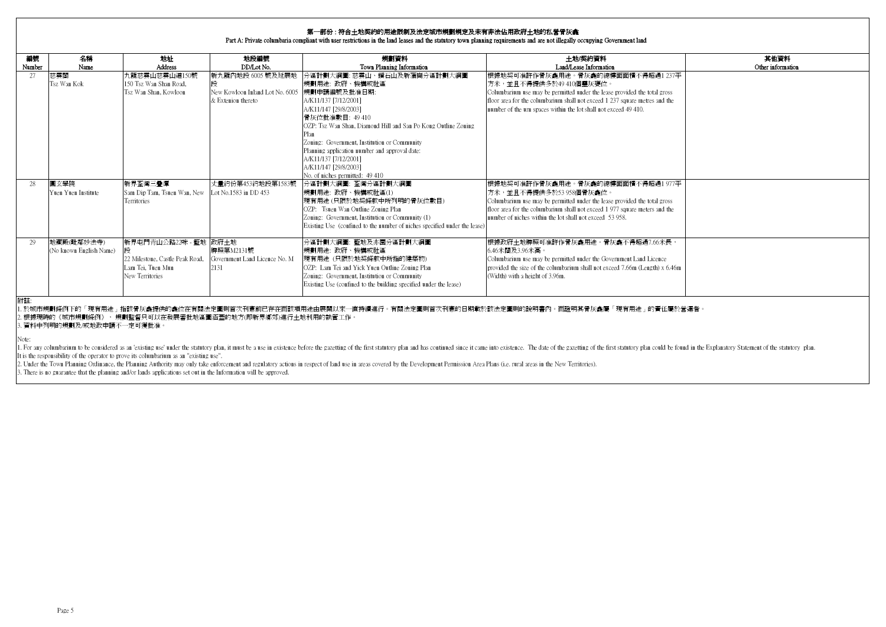#### 第一部份 : 符合土地契約的用途限制及法定城市規劃規定及未有非法佔用政府土地的私營骨灰龕

#### Part A: Private columbaria compliant with user restrictions in the land leases and the statutory town planning requirements and are not illegally occupying Government land

| 編號     | 名稱                                    | 地址                                                                                               | 地段編號                                                                       | 規劃資料                                                                                                                                                                                                                                                                                                                                                     | 土地/契約資料                                                                                                                                                                                                                                                                                       | 其他資料              |
|--------|---------------------------------------|--------------------------------------------------------------------------------------------------|----------------------------------------------------------------------------|----------------------------------------------------------------------------------------------------------------------------------------------------------------------------------------------------------------------------------------------------------------------------------------------------------------------------------------------------------|-----------------------------------------------------------------------------------------------------------------------------------------------------------------------------------------------------------------------------------------------------------------------------------------------|-------------------|
| Number | Name                                  | <b>Address</b>                                                                                   | DD/Lot No.                                                                 | Town Planning Information                                                                                                                                                                                                                                                                                                                                | Land/Lease Information                                                                                                                                                                                                                                                                        | Other information |
| 27     | 慈雲閣<br>Tsz Wan Kok                    | 九龍慈雲山慈雲山道150號<br>150 Tsz Wan Shan Road.<br>Tsz Wan Shan, Kowloon                                 | 新九龍內地段 6005 號及延展地<br>New Kowloon Inland Lot No. 6005<br>& Extenion thereto | 分區計劃大綱圖: 慈雲山、鑽石山及新蒲崗分區計劃大綱圖<br>規劃用途: 政府、機構或社區<br>規劃申請編號及批准日期:<br>A/K11/137 [7/12/2001]<br>A/K11/147 [29/8/2003]<br>骨灰位批准數目: 49 410<br>OZP: Tsz Wan Shan, Diamond Hill and San Po Kong Outline Zoning<br>Zoning: Government, Institution or Community<br>Planning application number and approval date:<br>A/K11/137 [7/12/2001]<br>A/K11/147 [29/8/2003] | 垠據地契可准許作骨灰龕用途。骨灰龕的總樓面面積不得超過1 237平<br>Ⅰ方米,並且不得提供多於49 410個靈灰甕位。<br>Columbarium use may be permitted under the lease provided the total gross<br>floor area for the columbarium shall not exceed 1 237 square metres and the<br>number of the urn spaces within the lot shall not exceed 49 410. |                   |
| 28     | 圓玄學院<br>Yuen Yuen Institute           | 新界荃灣三疊潭<br>Sam Dip Tam, Tsuen Wan, New<br>Territories                                            | 丈量約份第453約地段第1583號<br>Lot No.1583 in DD 453                                 | No. of niches permitted: 49 410<br>分區計劃大綱圖: 荃灣分區計劃大綱圖<br>規劃用途: 政府、機構或社區(1)<br>現有用涂(只限於地契條款中所列明的骨灰位數目)<br>OZP: Tsuen Wan Outline Zoning Plan<br>Zoning: Government, Institution or Community (1)<br>Existing Use (confined to the number of niches specified under the lease)                                                                             | 根據地契可准許作骨灰龕用途。骨灰龕的總樓面面積不得超過1977平<br> 方米,並且不得提供多於53 958個骨灰龕位。<br>Columbarium use may be permitted under the lease provided the total gross<br>floor area for the columbarium shall not exceed 1 977 square meters and the<br>number of niches within the lot shall not exceed 53 958.          |                   |
| 29     | 地藏殿(毗鄰妙法寺)<br>(No known English Name) | 新界屯門青山公路22咪 - 籃地 政府土地<br>22 Milestone, Castle Peak Road,<br>Lam Tei, Tuen Mun<br>New Territories | 牌照第M2131號<br>Government Land Licence No. M<br>2131                         | 分區計劃大綱圖: 藍地及亦園分區計劃大綱圖<br>規劃用途: 政府、機構或社區<br>現有用途 (只限於地契條款中所指的建築物)<br>OZP: Lam Tei and Yick Yuen Outline Zoning Plan<br>Zoning: Government, Institution or Community<br>Existing Use (confined to the building specified under the lease)                                                                                                                  | 根據政府土地牌照可准許作骨灰龕用途。骨灰龕不得超過7.66米長,<br>6.46米闊及3.96米高。<br>Columbarium use may be permitted under the Government Land Licence<br>provided the size of the columbarium shall not exceed 7.66m (Length) x 6.46m<br>(Width) with a height of 3.96m.                                                   |                   |

附註:

1. 於城市規劃條例下的「現有用途」指該骨灰龕提供的龕位在有關法定圖則首次刊憲前已存在而該項用途由展開以來一直持續進行。有關法定圖則首次刊憲的日期載於該法定圖則的說明書內。而證明其骨灰龕屬「現有用途」的責任屬於營運者。

2. 根據現時的《城市規劃條例》, 規劃監督只可以在發展審批地區圖涵蓋的地方(即新界鄉郊)進行土地利用的執管工作。

3. 資料中列明的規劃及/或地政申請不一定可獲批准。

Note:

1. For any columbarium to be considered as an 'existing use' under the statutory plan, it must be a use in existence before the gazetting of the first statutory yalan and has continued since it came into existence. The dat It is the responsibility of the operator to prove its columbarium as an "existing use".

2. Under the Town Planning Ordinance, the Planning Authority may only take enforcement and regulatory actions in respect of land use in areas covered by the Development Permission Area Plans (i.e. rural areas in the New Te

3. There is no guarantee that the planning and/or lands applications set out in the Information will be approved.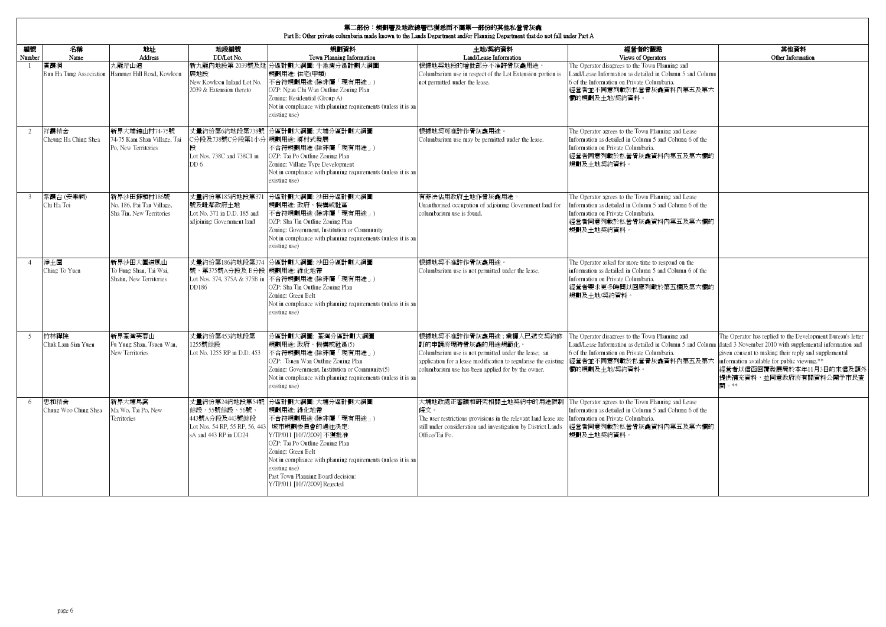|                | 第二部份:規劃署及地政總署已獲悉而不屬第一部份的其他私營骨灰龕<br>Part B: Other private columbaria made known to the Lands Department and/or Planning Department that do not fall under Part A |                                                                      |                                                                           |                                                                                                                                                                                                                                                                                                                                                        |                                                                                                                                                                                                                               |                                                                                                                                                                                                         |                                                                                                                                                                                                                                                                                                |  |  |  |  |
|----------------|-----------------------------------------------------------------------------------------------------------------------------------------------------------------|----------------------------------------------------------------------|---------------------------------------------------------------------------|--------------------------------------------------------------------------------------------------------------------------------------------------------------------------------------------------------------------------------------------------------------------------------------------------------------------------------------------------------|-------------------------------------------------------------------------------------------------------------------------------------------------------------------------------------------------------------------------------|---------------------------------------------------------------------------------------------------------------------------------------------------------------------------------------------------------|------------------------------------------------------------------------------------------------------------------------------------------------------------------------------------------------------------------------------------------------------------------------------------------------|--|--|--|--|
| 編號<br>Number   | 名稱<br>Name                                                                                                                                                      | 地址<br><b>Address</b>                                                 | 地段編號<br>DD/Lot No.                                                        | 規劃資料<br>Town Planning Information                                                                                                                                                                                                                                                                                                                      | 土地/契約資料<br>Land/Lease Information                                                                                                                                                                                             | 經營者的觀點<br>Views of Operators                                                                                                                                                                            | 其他資料<br>Other Information                                                                                                                                                                                                                                                                      |  |  |  |  |
| $\overline{1}$ | 宿霞洞                                                                                                                                                             | 九龍斧山道<br>Bun Ha Tung Association Hammer Hill Road, Kowloon           | 展地段<br>New Kowloon Inland Lot No.<br>2039 & Extension thereto             | 新九龍內地段第2039號及延 分區計劃大綱圖: 牛池灣分區計劃大綱圖<br>規劃用涂:住字(甲類)<br>不合符規劃用途 (除非屬「現有用途」)<br>OZP: Ngau Chi Wan Outline Zoning Plan<br>Zoning: Residential (Group A)<br>Not in compliance with planning requirements (unless it is an<br>existing use)                                                                                                                   | 根據地契地段的增批部分不准許骨灰龕用涂。<br>Columbarium use in respect of the Lot Extension portion is<br>not permitted under the lease.                                                                                                          | The Operator disagrees to the Town Planning and<br>Land/Lease Information as detailed in Column 5 and Column<br>6 of the Information on Private Columbaria.<br>經營者並不同意列載於私營骨灰龕資料內第五及第六<br>欄的規劃及土地/契約資料。 |                                                                                                                                                                                                                                                                                                |  |  |  |  |
| 2              | 祥霞精舍<br>Cheung Ha Ching Shea                                                                                                                                    | 新界大埔錦山村74-75號<br>4-75 Kam Shan Village, Tai<br>Po. New Territories   | C分段及738號C分段第1小分 規劃用途: 鄉村式發展<br>段<br>Lot Nos. 738C and 738C1 in<br>DD 6    | 丈量約份第6約地段第738號 分區計劃大綱圖: 大埔分區計劃大綱圖<br>不合符規劃用途 (除非屬「現有用途」)<br>OZP: Tai Po Outline Zoning Plan<br>Zoning: Village Type Development<br>Not in compliance with planning requirements (unless it is an<br>existing use)                                                                                                                                      | 根據地契可准許作骨灰龕用途<br>Columbarium use may be permitted under the lease.                                                                                                                                                            | The Operator agrees to the Town Planning and Lease<br>Information as detailed in Column 5 and Column 6 of the<br>Information on Private Columbaria.<br>經營者同意列載於私營骨灰龕資料內第五及第六欄的<br>規劃及十地契約資料。            |                                                                                                                                                                                                                                                                                                |  |  |  |  |
| 3              | 紫霞台(安樂祠)<br>Chi Ha Toi                                                                                                                                          | 新界沙田排頭村186號<br>No. 186, Pai Tau Village,<br>Sha Tin, New Territories | 號及毗鄰政府土地<br>Lot No. 371 in D.D. 185 and<br>adioining Government land      | 丈量約份第185約地段第371 分區計劃大綱圖: 沙田分區計劃大綱圖<br>規劃用途: 政府、機構或社區<br>不合符規劃用途 (除非屬「現有用途」)<br>OZP: Sha Tin Outline Zoning Plan<br>Zoning: Government, Institution or Community<br>Not in compliance with planning requirements (unless it is an<br>existing use)                                                                                                      | 有非法佔用政府土地作骨灰龕用途。<br>Unauthorised occupation of adjoining Government land for<br>columbarium use is found.                                                                                                                     | The Operator agrees to the Town Planning and Lease<br>Information as detailed in Column 5 and Column 6 of the<br>Information on Private Columbaria.<br>經營者同意列載於私營骨灰龕資料內第五及第六欄的<br>規劃及十地契約資料。            |                                                                                                                                                                                                                                                                                                |  |  |  |  |
| $\overline{4}$ | 淨土園<br>Ching To Yuen                                                                                                                                            | 新界沙田大圍道風山<br>To Fung Shan, Tai Wai,<br>Shatin, New Territories       | 號、第375號A分段及 B分段 規劃用途: 綠化地帶<br>DD186                                       | 丈量約份第186約地段第374 分區計劃大綱圖: 沙田分區計劃大綱圖<br>Lot Nos. 374, 375A & 375B in 不合符規劃用途 (除非屬「現有用途」)<br>OZP: Sha Tin Outline Zoning Plan<br>Zoning: Green Belt<br>Not in compliance with planning requirements (unless it is an<br>existing use)                                                                                                                     | 根據地契不准許作骨灰龕用涂。<br>Columbarium use is not permitted under the lease.                                                                                                                                                           | The Operator asked for more time to respond on the<br>information as detailed in Column 5 and Column 6 of the<br>Information on Private Columbaria.<br>經營者要求更多時間以回應列載於第五欄及第六欄的<br>規劃及土地/契約資料。           |                                                                                                                                                                                                                                                                                                |  |  |  |  |
| 5              | 竹林禪院<br>Chuk Lam Sim Yuen                                                                                                                                       | 新界荃灣芙蓉山<br>Fu Yung Shan, Tsuen Wan,<br>New Territories               | 丈量約份第453約地段第<br>1255號餘段<br>Lot No. 1255 RP in D.D. 453                    | 分區計劃大綱圖: 荃灣分區計劃大綱圖<br>規劃用涂: 政府、機構或社區(5)<br>不合符規劃用涂 (除非屬「現有用涂」)<br>OZP: Tsuen Wan Outline Zoning Plan<br>Zoning: Government, Institution or Community(5)<br>Not in compliance with planning requirements (unless it is an<br>existing use)                                                                                                              | 根據地契不准許作骨灰龕用途;業權人已遞交契約修<br>訂的申請將現時骨灰龕的用涂規範化。<br>Columbarium use is not permitted under the lease: an<br>application for a lease modification to regularise the existing<br>columbarium use has been applied for by the owner. | The Operator disagrees to the Town Planning and<br>Land/Lease Information as detailed in Column 5 and Column<br>6 of the Information on Private Columbaria.<br>經營者並不同意列載於私營骨灰龕資料內第五及第六<br>欄的規劃及土地/契約資料。 | The Operator has replied to the Development Bureau's letter<br>dated 3 November 2010 with supplemental information and<br>given consent to making their reply and supplemental<br>information available for public viewing.**<br>經營者以信函回覆發展局於本年11月3日的來信及額外<br>提供補充資料,並同意政府將有關資料公開予市民查<br>閣 。** |  |  |  |  |
| 6              | 忠和精舍<br>Chung Woo Ching Shea                                                                                                                                    | 新界大埔馬窩<br>Ma Wo, Tai Po, New<br><b>Territories</b>                   | 丈量約份第24約地段第54號<br>餘段、55號餘段、56號<br>443號A分段及443號餘段<br>sA and 443 RP in DD24 | 分區計劃大綱圖: 大埔分區計劃大綱圖<br>規劃用涂: 綠化地帶<br>不合符規劃用涂 (除非屬「現有用涂」)<br>Lot Nos. 54 RP, 55 RP, 56, 443 城市規劃委員會的過往決定:<br>Y/TP/011 [10/7/2009] 不獲批准<br>OZP: Tai Po Outline Zoning Plan<br>Zoning: Green Belt<br>Not in compliance with planning requirements (unless it is an<br>existing use)<br>Past Town Planning Board decision:<br>Y/TP/011 [10/7/2009] Rejected | 大埔地政處正審議和研究相關土地契約中的用途限制<br>條文。<br>The user restrictions provisions in the relevant land lease are<br>still under consideration and investigation by District Lands<br>Office/Tai Po.                                          | The Operator agrees to the Town Planning and Lease<br>Information as detailed in Column 5 and Column 6 of the<br>Information on Private Columbaria.<br>經營者同意列載於私營骨灰龕資料內第五及第六欄的<br>規劃及土地契約資料。            |                                                                                                                                                                                                                                                                                                |  |  |  |  |

 $\sqrt{2}$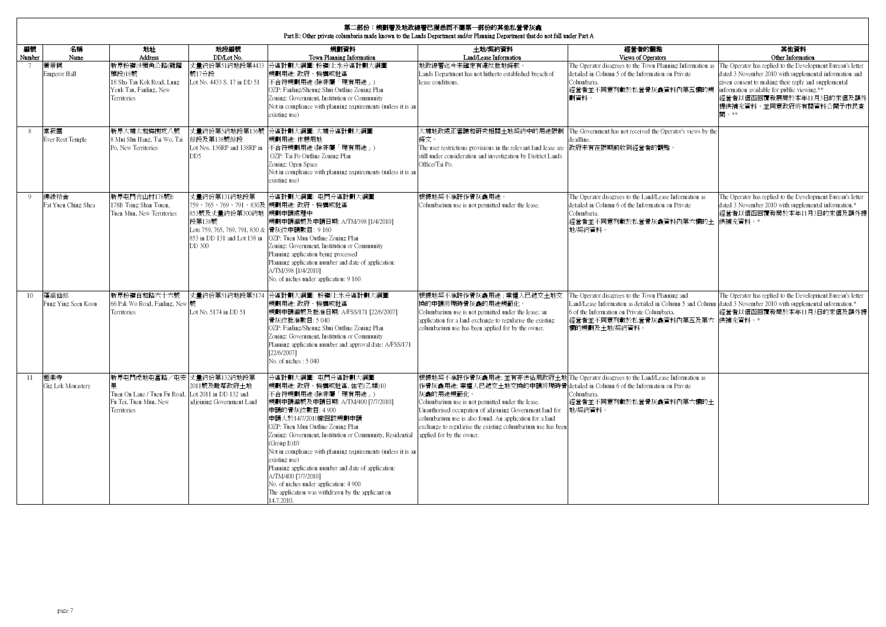|                 | <b>第二部份:規劃署及地政總署已獲悉而不屬第一部份的其他私營骨灰龕</b><br>Part B: Other private columbaria made known to the Lands Department and/or Planning Department that do not fall under Part A |                                                                                                   |                                                                                                      |                                                                                                                                                                                                                                                                                                                                                                                                                                                                                                                                                    |                                                                                                                                                                                                                                                                                                                                                                                                                                                          |                                                                                                                                                                                                         |                                                                                                                                                                                                                                                                                               |  |  |  |  |  |
|-----------------|------------------------------------------------------------------------------------------------------------------------------------------------------------------------|---------------------------------------------------------------------------------------------------|------------------------------------------------------------------------------------------------------|----------------------------------------------------------------------------------------------------------------------------------------------------------------------------------------------------------------------------------------------------------------------------------------------------------------------------------------------------------------------------------------------------------------------------------------------------------------------------------------------------------------------------------------------------|----------------------------------------------------------------------------------------------------------------------------------------------------------------------------------------------------------------------------------------------------------------------------------------------------------------------------------------------------------------------------------------------------------------------------------------------------------|---------------------------------------------------------------------------------------------------------------------------------------------------------------------------------------------------------|-----------------------------------------------------------------------------------------------------------------------------------------------------------------------------------------------------------------------------------------------------------------------------------------------|--|--|--|--|--|
| 編號<br>Number    | 名稱<br>Name                                                                                                                                                             | 地址<br><b>Address</b>                                                                              | 地段編號<br>DD/Lot No.                                                                                   | 規劃資料<br>Town Planning Information                                                                                                                                                                                                                                                                                                                                                                                                                                                                                                                  | 土地/契約資料<br>Land/Lease Information                                                                                                                                                                                                                                                                                                                                                                                                                        | 經營者的觀點<br>Views of Operators                                                                                                                                                                            | 其他資料<br>Other Information                                                                                                                                                                                                                                                                     |  |  |  |  |  |
| 7               | 黃帝祠<br>Emperor Hall                                                                                                                                                    | 新界粉嶺沙頭角公路(龍躍<br>頭段)18號<br>18 Sha Tau Kok Road, Lung<br>Yeuk Tau, Fanling, New<br>Territories      | 丈量約份第51約地段第4433<br>號17分段<br>Lot No. 4433 S. 17 in DD 51                                              | 分區計劃大綱圖: 粉嶺/上水分區計劃大綱圖<br>規劃用途: 政府、機構或社區<br>不合符規劃用途 (除非屬「現有用途」)<br>OZP: Fanling/Sheung Shui Outline Zoning Plan<br>Zoning: Government, Institution or Community<br>Not in compliance with planning requirements (unless it is an<br>existing use)                                                                                                                                                                                                                                                                                                   | 地政總署迄今未確定有違反批地條款<br>Lands Department has not hitherto established breach of<br>lease conditions.                                                                                                                                                                                                                                                                                                                                                         | The Operator disagrees to the Town Planning Information as<br>detailed in Column 5 of the Information on Private<br>Columbaria.<br>經營者並不同意列載於私營骨灰龕資料內第五欄的規<br>劃資料。                                      | The Operator has replied to the Development Bureau's letter<br>dated 3 November 2010 with supplemental information and<br>given consent to making their reply and supplemental<br>information available for public viewing.**<br>經營者以信函回覆發展局於本年11月3日的來信及額外<br>提供補充資料,並同意政府將有關資料公開予市民查<br>閣。** |  |  |  |  |  |
| 8               | 常寂園<br>Ever Rest Temple                                                                                                                                                | 新界大埔太和梅樹坑八號<br>8 Mui Shu Hang, Tai Wo, Tai<br>Po, New Territories                                 | 餘段及第138號餘段<br>Lot Nos. 136RP and 138RP in<br>DD <sub>5</sub>                                         | 丈量約份第5約地段第136號 分區計劃大綱圖: 大埔分區計劃大綱圖<br>規劃用涂: 休憩用地<br>不合符規劃用途 (除非屬「現有用途」)<br>OZP: Tai Po Outline Zoning Plan<br>Zoning: Open Space<br>Not in compliance with planning requirements (unless it is an<br>existing use)                                                                                                                                                                                                                                                                                                                                  | 大埔地政處正審議和研究相關+地契約中的用涂限制<br>條文。<br>The user restrictions provisions in the relevant land lease are<br>still under consideration and investigation by District Lands<br>Office/Tai Po.                                                                                                                                                                                                                                                                     | The Government has not received the Operator's views by the<br>deadline<br>政府未有在限期前收到經營者的觀點。                                                                                                            |                                                                                                                                                                                                                                                                                               |  |  |  |  |  |
| $\overline{Q}$  | 佛綠精舍<br>Fat Yuen Ching Shea                                                                                                                                            | 新界屯門青山村178號B<br>178B Tsing Shan Tsuen,<br>Tuen Mun, New Territories                               | 丈量約份第131約地段第<br>853號及丈量約份第300約地<br>段第138號<br>Lots 759, 765, 769, 791, 830 & 骨灰位申請數目: 9 160<br>DD 300 | 分區計劃大綱圖: 屯門分區計劃大綱圖<br>759、765、769、791、830及 規劃用途: 政府、機構或社區<br>規劃申請處理中<br>規劃申請編號及申請日期: A/TM/398 [1/4/2010]<br>853 in DD 131 and Lot 138 in OZP: Tuen Mun Outline Zoning Plan<br>Zoning: Government, Institution or Community<br>Planning application being processed<br>Planning application number and date of application:<br>A/TM/398 [1/4/2010]<br>No. of niches under application: 9 160                                                                                                                                                        | 根據地契不准許作骨灰龕用涂。<br>Columbarium use is not permitted under the lease.                                                                                                                                                                                                                                                                                                                                                                                      | The Operator disagrees to the Land/Lease Information as<br>detailed in Column 6 of the Information on Private<br>Columbaria.<br>經營者並不同意列載於私營骨灰龕資料內第六欄的土<br>地喫約資料。                                       | The Operator has replied to the Development Bureau's letter<br>dated 3 November 2010 with supplemental information.*<br>經營者以信函回覆發局於本年11月3日的來信及額外提<br>供補充資料。*                                                                                                                                  |  |  |  |  |  |
| 10 <sup>°</sup> | 蓬灜仙館<br>Fung Ying Seen Koon                                                                                                                                            | 新界粉嶺百和路六十六號<br>66 Pak Wo Road, Fanling, New<br>Territories                                        | 丈量約份第51約地段第5174<br>Lot No. 5174 in DD 51                                                             | 分區計劃大綱圖: 粉嶺/上水分區計劃大綱圖<br>規劃用途: 政府、機構或社區<br>規劃申請編號及批准日期: A/FSS/171 [22/6/2007]<br>骨灰位批准數目:5040<br>OZP: Fanling/Sheung Shui Outline Zoning Plan<br>Zoning: Government, Institution or Community<br>Planning application number and approval date: A/FSS/171<br>[22/6/2007]<br>No. of niches: 5 040                                                                                                                                                                                                                                                   | 根據地契不准許作骨灰龕用途;業權人已遞交土地交<br>換的申請將現時骨灰龕的用途規範化。<br>Columbarium use is not permitted under the lease; an<br>application for a land exchange to regularise the existing<br>columbarium use has been applied for by the owner.                                                                                                                                                                                                                                 | The Operator disagrees to the Town Planning and<br>Land/Lease Information as detailed in Column 5 and Column<br>6 of the Information on Private Columbaria.<br>經營者並不同意列載於私營骨灰龕資料內第五及第六<br>欄的規劃及土地/契約資料。 | The Operator has replied to the Development Bureau's letter<br>dated 3 November 2010 with supplemental information.*<br>經營者以信函回覆發局於本年11月3日的來信及額外提<br>供補充資料。*                                                                                                                                  |  |  |  |  |  |
| 11              | 極樂寺<br>Gig Lok Monastery                                                                                                                                               | 新界屯門虎地屯富路/屯安 丈量約份第132約地段第<br>Tuen On Lane / Tuen Fu Road,<br>Fu Tei, Tuen Mun, New<br>Territories | 2011號及毗鄰政府十地<br>Lot 2011 in DD 132 and<br>adjoining Government Land                                  | 分區計劃大綱圖: 屯門分區計劃大綱圖<br>規劃用涂: 政府、機構或社區、住宅(乙類)10<br>不合符規劃用途 (除非屬「現有用途」)<br>規劃申請編號及申請日期: A/TM/400 [7/7/2010]<br>申請的骨灰位數目: 4 900<br>申請人於14/7/2010撤回該規劃申請<br>OZP: Tuen Mun Outline Zoning Plan<br>Zoning: Government, Institution or Community, Residential<br>(Group B)10<br>Not in compliance with planning requirements (unless it is an<br>existing use)<br>Planning application number and date of application:<br>A/TM/400 [7/7/2010]<br>No. of niches under application: 4 900<br>The application was withdrawn by the applicant on<br>14.7.2010. | 根據地契不准許作骨灰龕用途; 並有非法佔用政府土地 The Operator disagrees to the Land/Lease Information as<br>作骨灰龕用涂: 業權人已遞交土地交換的申請將現時骨 detailed in Column 6 of the Information on Private<br>灰龕的用途規範化。<br>Columbarium use is not permitted under the lease.<br>Unauthorised occupation of adjoining Government land for<br>columbarium use is also found. An application for a land<br>exchange to regularise the existing columbarium use has been<br>applied for by the owner. | Columbaria.<br>經營者並不同意列載於私營骨灰龕資料內第六欄的土<br>地/契約資料。                                                                                                                                                       |                                                                                                                                                                                                                                                                                               |  |  |  |  |  |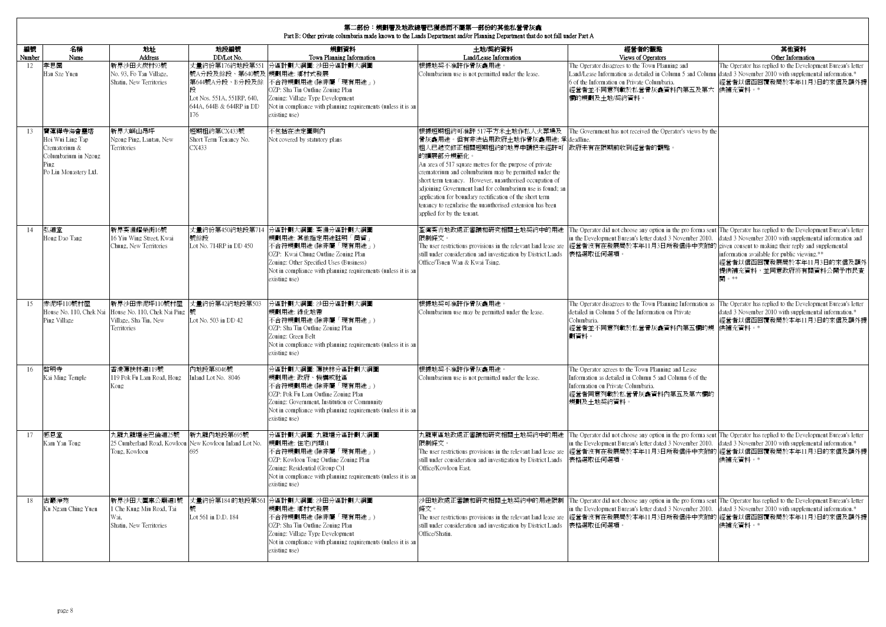|              | 第二部份:規劃署及地政總署已獲悉而不屬第一部份的其他私營骨灰龕<br>Part B: Other private columbaria made known to the Lands Department and/or Planning Department that do not fall under Part A |                                                                                         |                                                                                                                                  |                                                                                                                                                                                                                                                     |                                                                                                                                                                                                                                                                                                                                                                                                                                                                                                                                |                                                                                                                                                                                                                                                                                                                                         |                                                                                                                                                                        |  |  |  |  |  |
|--------------|-----------------------------------------------------------------------------------------------------------------------------------------------------------------|-----------------------------------------------------------------------------------------|----------------------------------------------------------------------------------------------------------------------------------|-----------------------------------------------------------------------------------------------------------------------------------------------------------------------------------------------------------------------------------------------------|--------------------------------------------------------------------------------------------------------------------------------------------------------------------------------------------------------------------------------------------------------------------------------------------------------------------------------------------------------------------------------------------------------------------------------------------------------------------------------------------------------------------------------|-----------------------------------------------------------------------------------------------------------------------------------------------------------------------------------------------------------------------------------------------------------------------------------------------------------------------------------------|------------------------------------------------------------------------------------------------------------------------------------------------------------------------|--|--|--|--|--|
| 編號<br>Number | 名稱<br><b>Name</b>                                                                                                                                               | 地址<br>Address                                                                           | 地段編號<br>DD/Lot No.                                                                                                               | 規劃資料<br>Town Planning Information                                                                                                                                                                                                                   | 土地/契約資料<br>Land/Lease Information                                                                                                                                                                                                                                                                                                                                                                                                                                                                                              | 經營者的觀點<br>Views of Operators                                                                                                                                                                                                                                                                                                            | 其他資料<br>Other Information                                                                                                                                              |  |  |  |  |  |
| 12           | 孝思園<br>Hau Sze Yuen                                                                                                                                             | 新界沙田火炭村93號<br>No. 93, Fo Tan Village,<br>Shatin, New Territories                        | 丈量約份第176約地段第551<br>號A分段及餘段、第640號及 規劃用途: 鄉村式發展<br>第644號A分段、B分段及餘<br>Lot Nos. 551A, 551RP, 640,<br>644A, 644B & 644RP in DD<br>176 | 分區計劃大綱圖: 沙田分區計劃大綱圖<br>不合符規劃用途 (除非屬「現有用途」)<br>OZP: Sha Tin Outline Zoning Plan<br>Zoning: Village Type Development<br>Not in compliance with planning requirements (unless it is an<br>existing use)                                                 | 根據地契不准許作骨灰龕用途<br>Columbarium use is not permitted under the lease.                                                                                                                                                                                                                                                                                                                                                                                                                                                             | The Operator disagrees to the Town Planning and<br>Land/Lease Information as detailed in Column 5 and Column<br>6 of the Information on Private Columbaria.<br>經營者並不同意列載於私營骨灰龕資料內第五及第六 供補充資料。*<br>欄的規劃及土地/契約資料。                                                                                                                         | The Operator has replied to the Development Bureau's letter<br>dated 3 November 2010 with supplemental information.*<br>經營者以信函回覆發局於本年11月3日的來信及額外提                      |  |  |  |  |  |
| 13           | 寶蓮禪寺海會靈塔<br>Hoi Wui Ling Tap<br>Crematorium &<br>Columbarium in Ngong<br>Ping<br>Po Lin Monastery Ltd.                                                          | 新界大嶼山昂坪<br>Ngong Ping, Lantau, New<br><b>Territories</b>                                | 短期租約第CX433號<br>Short Term Tenancy No.<br>CX433                                                                                   | 不包括在法定圖則內<br>Not covered by statutory plans                                                                                                                                                                                                         | 根據短期租約可准許 517平方米土地作私人火葬場及<br>骨灰龕用途。但有非法佔用政府土地作骨灰龕用途;承 deadline.<br>租人已遞交修正相關短期租約的地界申請把未經許可 政府未有在限期前收到經營者的觀點。<br>的擴展部分規範化。<br>An area of 517 square metres for the purpose of private<br>crematorium and columbarium may be permitted under the<br>short term tenancy. However, unauthorised occupation of<br>adjoining Government land for columbarium use is found; an<br>application for boundary rectification of the short term<br>tenancy to regularise the unauthorised extension has been<br>applied for by the tenant. | The Government has not received the Operator's views by the                                                                                                                                                                                                                                                                             |                                                                                                                                                                        |  |  |  |  |  |
| 14           | 弘道堂<br>Hong Dao Tang                                                                                                                                            | 新界葵涌耀榮街16號<br>16 Yiu Wing Street, Kwai<br>Chung, New Territories                        | 號餘段<br>Lot No. 714RP in DD 450                                                                                                   | 丈量約份第450約地段第714 分區計劃大綱圖: 葵涌分區計劃大綱圖<br>規劃用途: 其他指定用途註明「商貿」<br>不合符規劃用途 (除非屬「現有用途」)<br>OZP: Kwai Chung Outline Zoning Plan<br>Zoning: Other Specified Uses (Business)<br>Not in compliance with planning requirements (unless it is an<br>existing use) | 荃灣葵青地政處正審議和研究相關土地契約中的用涂<br>限制條文。<br>The user restrictions provisions in the relevant land lease are<br>still under consideration and investigation by District Lands<br>Office/Tsuen Wan & Kwai Tsing.                                                                                                                                                                                                                                                                                                                         | The Operator did not choose any option in the pro forma sent The Operator has replied to the Development Bureau's letter<br>in the Development Bureau's letter dated 3 November 2010.<br>經營者沒有在發展局於本年11月3日所發信件中夾附的 given consent to making their reply and supplemental<br>表格選取任何選項。                                                    | dated 3 November 2010 with supplemental information and<br>information available for public viewing.**<br>經營者以信函回覆發展局於本年11月3日的來信及額外<br>提供補充資料,並同意政府將有關資料公開予市民查<br>閉。** |  |  |  |  |  |
| 15           | 赤泥坪110號村屋<br>House No. 110, Chek Nai<br>Ping Village                                                                                                            | 新界沙田赤泥坪110號村屋<br>House No. 110, Chek Nai Ping 號<br>Village, Sha Tin, New<br>Territories | 丈量約份第42約地段第503<br>Lot No. 503 in DD 42                                                                                           | 分區計劃大綱圖: 沙田分區計劃大綱圖<br>規劃用途: 綠化地帶<br>不合符規劃用涂 (除非屬「現有用涂」)<br>OZP: Sha Tin Outline Zoning Plan<br>Zoning: Green Belt<br>Not in compliance with planning requirements (unless it is an<br>existing use)                                                 | 根據地契可准許作骨灰龕用涂。<br>Columbarium use may be permitted under the lease.                                                                                                                                                                                                                                                                                                                                                                                                                                                            | The Operator disagrees to the Town Planning Information as The Operator has replied to the Development Bureau's letter<br>detailed in Column 5 of the Information on Private<br>Columbaria.<br>經營者並不同意列載於私營骨灰龕資料內第五欄的規 供補充資料。*<br>劃資料。                                                                                                  | dated 3 November 2010 with supplemental information.*<br>經營者以信函回覆發局於本年11月3日的來信及額外提                                                                                     |  |  |  |  |  |
| 16           | 啓明寺<br>Kai Ming Temple                                                                                                                                          | 香港薄扶林道119號<br>119 Pok Fu Lam Road, Hong<br>Kong                                         | 內地段第8046號<br>Inland Lot No. 8046                                                                                                 | 分區計劃大綱圖: 薄扶林分區計劃大綱圖<br>規劃用涂: 政府、機構或計區<br>不合符規劃用途 (除非屬「現有用途」)<br>OZP: Pok Fu Lam Outline Zoning Plan<br>Zoning: Government, Institution or Community<br>Not in compliance with planning requirements (unless it is an<br>existing use)               | 根據地契不准許作骨灰龕用途。<br>Columbarium use is not permitted under the lease.                                                                                                                                                                                                                                                                                                                                                                                                                                                            | The Operator agrees to the Town Planning and Lease<br>Information as detailed in Column 5 and Column 6 of the<br>Information on Private Columbaria.<br>經營者同意列載於私營骨灰龕資料內第五及第六欄的<br>規劃及土地契約資料。                                                                                                                                            |                                                                                                                                                                        |  |  |  |  |  |
| 17           | 感恩堂<br>Kam Yan Tong                                                                                                                                             | 九龍九龍塘金巴倫道25號<br>25 Cumberland Road, Kowloon<br>Tong, Kowloon                            | 新九龍內地段第695號<br>New Kowloon Inland Lot No.<br>695                                                                                 | 分區計劃大綱圖: 九龍塘分區計劃大綱圖<br>規劃用途:住宅(丙類)1<br>不合符規劃用途 (除非屬「現有用途」)<br>OZP: Kowloon Tong Outline Zoning Plan<br>Zoning: Residential (Group C)1<br>Not in compliance with planning requirements (unless it is an<br>existing use)                             | 限制條文。<br>The user restrictions provisions in the relevant land lease are<br>still under consideration and investigation by District Lands<br>Office/Kowloon East                                                                                                                                                                                                                                                                                                                                                               | 九龍東區地政處正審議和研究相關土地契約中的用途 The Operator did not choose any option in the pro forma sent The Operator has replied to the Development Bureau's letter<br>in the Development Bureau's letter dated 3 November 2010. dated 3 November 2010 with supplemental information.*<br>表格選取任何選項。                                                        | 經營者沒有在發展局於本年11月3日所發信件中夾附的  經營者以信函回覆發局於本年11月3日的來信及額外提<br>供補充資料。*                                                                                                        |  |  |  |  |  |
| 18           | 古巖淨苑<br>Ku Ngam Ching Yuen                                                                                                                                      | 新界沙田大圍車公廟道1號<br>Che Kung Miu Road, Tai<br>Wai.<br>Shatin, New Territories               | Lot 561 in D.D. 184                                                                                                              | 丈量約份第184 的地段第561 分區計劃大綱圖: 沙田分區計劃大綱圖<br>規劃用途: 鄉村式發展<br>不合符規劃用途 (除非屬「現有用途」)<br>OZP: Sha Tin Outline Zoning Plan<br>Zoning: Village Type Development<br>Not in compliance with planning requirements (unless it is an<br>existing use)                 | 條文。<br>The user restrictions provisions in the relevant land lease are<br>still under consideration and investigation by District Lands<br>Office/Shatin.                                                                                                                                                                                                                                                                                                                                                                      | 沙田地政處正審議和研究相關土地契約中的用途限制 The Operator did not choose any option in the pro forma sent The Operator has replied to the Development Bureau's letter<br>in the Development Bureau's letter dated 3 November 2010. dated 3 November 2010 with supplemental information.*<br>經營者沒有在發展局於本年11月3日所發信件中夾附的 經營者以信函回覆發局於本年11月3日的來信及額外提<br>表格選取任何選項。 | 供補充資料。*                                                                                                                                                                |  |  |  |  |  |

 $\mathbf{r}$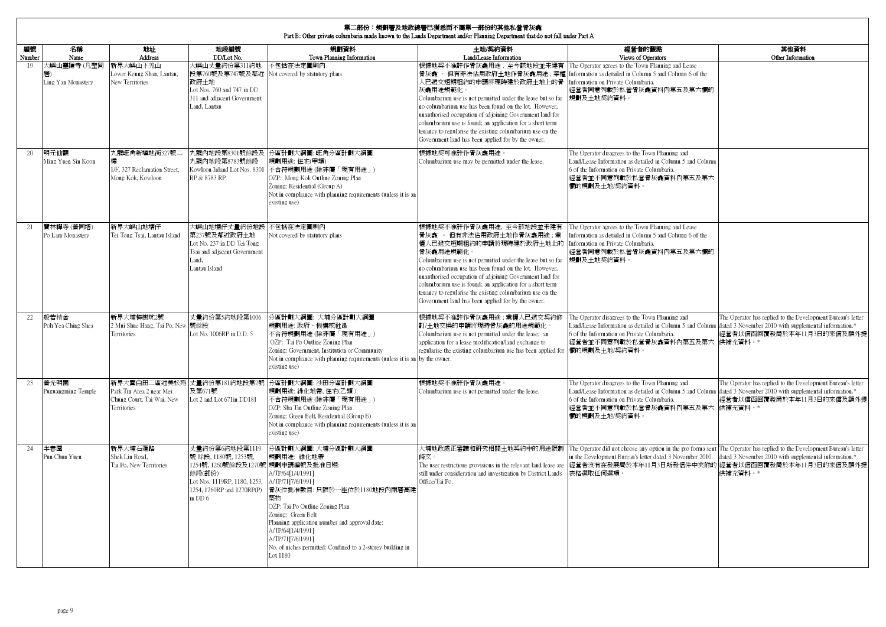|              | 第二部份:規劃署及地政總署已獲悉而不屬第一部份的其他私營骨灰龕<br>Part B: Other private columbaria made known to the Lands Department and/or Planning Department that do not fall under Part A |                                                                                      |                                                                                                                                 |                                                                                                                                                                                                                                                                                                                                                                            |                                                                                                                                                                                                                                                                                                                                                                                                                                                                                                                                                                                                                   |                                                                                                                                                                                                                                                           |                                                                                                                                                   |  |  |  |  |  |
|--------------|-----------------------------------------------------------------------------------------------------------------------------------------------------------------|--------------------------------------------------------------------------------------|---------------------------------------------------------------------------------------------------------------------------------|----------------------------------------------------------------------------------------------------------------------------------------------------------------------------------------------------------------------------------------------------------------------------------------------------------------------------------------------------------------------------|-------------------------------------------------------------------------------------------------------------------------------------------------------------------------------------------------------------------------------------------------------------------------------------------------------------------------------------------------------------------------------------------------------------------------------------------------------------------------------------------------------------------------------------------------------------------------------------------------------------------|-----------------------------------------------------------------------------------------------------------------------------------------------------------------------------------------------------------------------------------------------------------|---------------------------------------------------------------------------------------------------------------------------------------------------|--|--|--|--|--|
| 編號<br>Number | 名稱<br>Name                                                                                                                                                      | 地址<br>Address                                                                        | 地段編號<br>DD/Lot No.                                                                                                              | 規劃資料<br>Town Planning Information                                                                                                                                                                                                                                                                                                                                          | 土地/契約資料<br>Land/Lease Information                                                                                                                                                                                                                                                                                                                                                                                                                                                                                                                                                                                 | 經營者的觀點<br>Views of Operators                                                                                                                                                                                                                              | 其他資料<br>Other Information                                                                                                                         |  |  |  |  |  |
| 19           | (嶼山靈隱寺(凡聖同<br>Ling Yan Monastery                                                                                                                                | 新界大嶼山下羗山<br>Lower Keung Shan, Lantau,<br>New Territories                             | 大嶼山丈量約份第311約地<br>政府土地<br>Lot Nos. 760 and 747 in DD<br>311 and adiacent Government<br>Land, Lantau                              | 不包括在法定圖則內<br>段第760號及第747號及鄰近 Not covered by statutory plans                                                                                                                                                                                                                                                                                                                | 根據地契不准許作骨灰龕用途,至今該地段並未建有 The Operator agrees to the Town Planning and Lease<br>骨灰龕 。 但有非法佔用政府土地作骨灰龕用途 ; 業權 [Information as detailed in Column 5 and Column 6 of the<br>人已遞交短期租約的申請將現時建於政府+地上的骨 Information on Private Columbaria.<br>灰龕用途規範化。<br>Columbarium use is not permitted under the lease but so far<br>no columbarium use has been found on the lot. However,<br>unauthorised occupation of adjoining Government land for<br>columbarium use is found; an application for a short term<br>tenancy to regularise the existing columbarium use on the<br>Government land has been applied for by the owner. | <b>經營者同意列載於私營骨灰龕資料內第五及第六欄的</b><br>規劃及土地契約資料。                                                                                                                                                                                                              |                                                                                                                                                   |  |  |  |  |  |
| 20           | 明元仙觀<br>Ming Yuen Sin Koon                                                                                                                                      | 九龍旺角新填地街327號<br>1/F, 327 Reclamation Street,<br>Mong Kok, Kowloon                    | 九龍內地段第8783號餘段<br>Kowloon Inland Lot Nos. 8301<br>RP & 8783 RP                                                                   | 九龍內地段第8301號餘段及 分區計劃大綱圖: 旺角分區計劃大綱圖<br>規劃用途:住宅(甲類)<br>不合符規劃用途 (除非屬「現有用途」)<br>OZP: Mong Kok Outline Zoning Plan<br>Zoning: Residential (Group A)<br>Not in compliance with planning requirements (unless it is an<br>existing use)                                                                                                                                            | 根據地契可准許作骨灰龕用途。<br>Columbarium use may be permitted under the lease.                                                                                                                                                                                                                                                                                                                                                                                                                                                                                                                                               | The Operator disagrees to the Town Planning and<br>Land/Lease Information as detailed in Column 5 and Column<br>6 of the Information on Private Columbaria.<br>經營者並不同意列載於私營骨灰龕資料內第五及第六<br>欄的規劃及土地/契約資料。                                                   |                                                                                                                                                   |  |  |  |  |  |
| 21           | 寶林禪寺(普同塔)<br>Po Lam Monastery                                                                                                                                   | 新界大嶼山地塘仔<br>Tei Tong Tsai, Lantau Island                                             | 大嶼山地塘仔丈量約份地段 不包括在法定圖則內<br>第237號及鄰近政府土地<br>Lot No. 237 in DD Tei Tong<br>Tsai and adjacent Government<br>Land.<br>Lantau Island  | Not covered by statutory plans                                                                                                                                                                                                                                                                                                                                             | 根據地契不准許作骨灰龕用途, 至今該地段並未建有<br>骨灰龕 。 但有非法佔用政府土地作骨灰龕用途;業<br>權人已遞交短期租約的申請將現時建於政府土地上的 Information on Private Columbaria.<br>骨灰龕用涂規範化。<br>Columbarium use is not permitted under the lease but so far<br>no columbarium use has been found on the lot. However,<br>unauthorised occupation of adjoining Government land for<br>columbarium use is found; an application for a short term<br>tenancy to regularise the existing columbarium use on the<br>Government land has been applied for by the owner.                                                                                                              | The Operator agrees to the Town Planning and Lease<br>Information as detailed in Column 5 and Column 6 of the<br>經營者同意列載於私營骨灰龕資料內第五及第六欄的<br>規劃及十地契約資料。                                                                                                    |                                                                                                                                                   |  |  |  |  |  |
| 22           | 般若精舍<br>Poh Yea Ching Shea                                                                                                                                      | 新界大埔梅樹坑2號<br>2 Mui Shue Hang, Tai Po, New 號餘段<br>Territories                         | 丈量約份第5約地段第1006<br>Lot No. 1006RP in D.D. 5                                                                                      | 分區計劃大綱圖: 大埔分區計劃大綱圖<br>規劃用涂: 政府、機構或社區<br>不合符規劃用途 (除非屬「現有用途」)<br>OZP: Tai Po Outline Zoning Plan<br>Zoning: Government, Institution or Community<br>Not in compliance with planning requirements (unless it is an by the owner.<br>existing use)                                                                                                                             | 根據地契不准許作骨灰龕用涂:業權人已遞交契約修<br>訂/十地交換的申請將現時骨灰龕的用涂規範化。<br>Columbarium use is not permitted under the lease; an<br>application for a lease modification/land exchange to<br>regularise the existing columbarium use has been applied for 欄的規劃及土地/契約資料。                                                                                                                                                                                                                                                                                                                                                                  | The Operator disagrees to the Town Planning and<br>Land/Lease Information as detailed in Column 5 and Column dated 3 November 2010 with supplemental information.*<br>6 of the Information on Private Columbaria.<br>經營者並不同意列載於私營骨灰龕資料內第五及第六 供補充資料。*      | The Operator has replied to the Development Bureau's letter<br>經營者以信函回覆發局於本年11月3日的來信及額外提                                                          |  |  |  |  |  |
| 23           | 普光明園<br>Puguangming Temple                                                                                                                                      | 新界大圍白田二區沂美松苑<br>Park Tin Area 2 near Mei<br>Chung Court, Tai Wai, New<br>Territories | 及第671號<br>Lot 2 and Lot 671in DD181                                                                                             | 丈量約份第181約地段第2號 分區計劃大綱圖: 沙田分區計劃大綱圖<br>規劃用途: 綠化地帶,住宅(乙類)<br>不合符規劃用途 (除非屬「現有用途」)<br>OZP: Sha Tin Outline Zoning Plan<br>Zoning: Green Belt, Residential (Group B)<br>Not in compliance with planning requirements (unless it is an<br>existing use)                                                                                                                           | 根據地契不准許作骨灰龕用途。<br>Columbarium use is not permitted under the lease.                                                                                                                                                                                                                                                                                                                                                                                                                                                                                                                                               | The Operator disagrees to the Town Planning and<br>Land/Lease Information as detailed in Column 5 and Column<br>6 of the Information on Private Columbaria.<br>經營者並不同意列載於私營骨灰龕資料內第五及第六 供補充資料。*<br>欄的規劃及土地/契約資料。                                           | The Operator has replied to the Development Bureau's letter<br>dated 3 November 2010 with supplemental information.*<br>經營者以信函回覆發局於本年11月3日的來信及額外提 |  |  |  |  |  |
| 24           | 半春園<br>Pun Chun Yuen                                                                                                                                            | 新界大埔石蓮路<br>Shek Lin Road.<br>Tai Po, New Territories                                 | 丈量約份第6約地段第1119<br>號 餘段, 1180號, 1253號,<br>1254號,1260號餘段及1270號 規劃申請編號及批准日期:<br>餘段(部份)<br>Lot Nos. 1119RP, 1180, 1253.<br>in $DD6$ | 分區計劃大綱圖: 大埔分區計劃大綱圖<br>規劃用涂: 綠化地帶<br>A/TP/64[1/4/1991]<br>A/TP/7117/6/19911<br>1254, 1260RP and 1270RP(P) 骨灰位批准數目: 只限於一座位於1180地段內兩層高建<br>築物<br>OZP: Tai Po Outline Zoning Plan<br>Zoning: Green Belt<br>Planning application number and approval date:<br>A/TP/64[1/4/1991]<br>A/TP/71[7/6/1991]<br>No. of niches permitted: Confined to a 2-storey building in<br>Lot 1180 | 條文。<br>The user restrictions provisions in the relevant land lease are<br>still under consideration and investigation by District Lands<br>Office/Tai Po.                                                                                                                                                                                                                                                                                                                                                                                                                                                         | 大埔地政處正審議和研究相關土地契約中的用途限制 【The Operator did not choose any option in the pro forma sent 【The Operator has replied to the Development Bureau's letter<br>in the Development Bureau's letter dated 3 November 2010.<br>經營者沒有在發展局於本年11月3日所發信件中夾附的<br>表格選取任何選項。 | dated 3 November 2010 with supplemental information.*<br>經營者以信函回覆發局於本年11月3日的來信及額外提<br>供補充資料。*                                                     |  |  |  |  |  |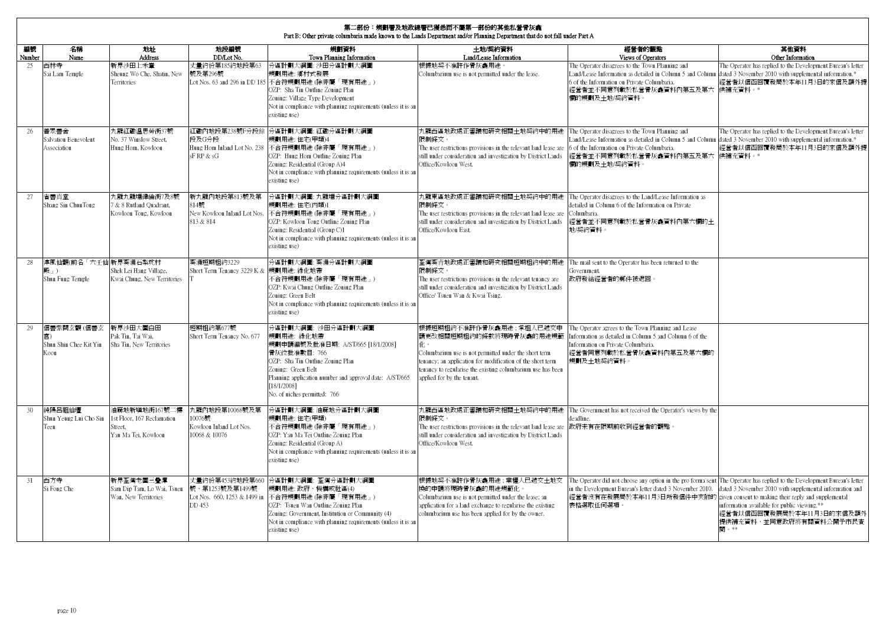|              | 第二部份:規劃署及地政總署已獲悉而不屬第一部份的其他私營骨灰龕<br>Part B: Other private columbaria made known to the Lands Department and/or Planning Department that do not fall under Part A |                                                                               |                                                                      |                                                                                                                                                                                                                                                                         |                                                                                                                                                                                                                                                                              |                                                                                                                                                                                                                                                                                      |                                                                                                                                                                         |  |  |  |  |  |
|--------------|-----------------------------------------------------------------------------------------------------------------------------------------------------------------|-------------------------------------------------------------------------------|----------------------------------------------------------------------|-------------------------------------------------------------------------------------------------------------------------------------------------------------------------------------------------------------------------------------------------------------------------|------------------------------------------------------------------------------------------------------------------------------------------------------------------------------------------------------------------------------------------------------------------------------|--------------------------------------------------------------------------------------------------------------------------------------------------------------------------------------------------------------------------------------------------------------------------------------|-------------------------------------------------------------------------------------------------------------------------------------------------------------------------|--|--|--|--|--|
| 編號<br>Number | 名稱<br>Name                                                                                                                                                      | 地址<br><b>Address</b>                                                          | 地段編號<br>DD/Lot No.                                                   | 規劃資料<br>Town Planning Information                                                                                                                                                                                                                                       | 土地/契約資料<br>Land/Lease Information                                                                                                                                                                                                                                            | 經營者的觀點<br>Views of Operators                                                                                                                                                                                                                                                         | 其他資料<br>Other Information                                                                                                                                               |  |  |  |  |  |
| 25           | 西林寺<br>Sai Lam Temple                                                                                                                                           | 新界沙田上禾輋<br>Sheung Wo Che, Shatin, New<br><b>Territories</b>                   | 丈量約份第185約地段第63<br>號及第296號                                            | 分區計劃大綱圖: 沙田分區計劃大綱圖<br>規劃用涂: 鄉村式發展<br>Lot Nos. 63 and 296 in DD 185 不合符規劃用途 (除非屬「現有用途」)<br>OZP: Sha Tin Outline Zoning Plan<br>Zoning: Village Type Development<br>Not in compliance with planning requirements (unless it is an<br>existing use)                        | 根據地契不准許作骨灰龕用途。<br>Columbarium use is not permitted under the lease.                                                                                                                                                                                                          | The Operator disagrees to the Town Planning and<br>Land/Lease Information as detailed in Column 5 and Column<br>6 of the Information on Private Columbaria.<br>經營者並不同意列載於私營骨灰龕資料內第五及第六 供補充資料。*<br>欄的規劃及土地/契約資料。                                                                      | The Operator has replied to the Development Bureau's letter<br>dated 3 November 2010 with supplemental information.*<br>經營者以信函回覆發局於本年11月3日的來信及額外提                       |  |  |  |  |  |
| 26           | 普眾善舍<br>Salvation Benevolent<br>Association                                                                                                                     | 九龍紅磡溫思勞街37號<br>No. 37 Winslow Street.<br>Hung Hom, Kowloon                    | 段及G分段<br>sF RP & sG                                                  | 紅磡內地段第238號F分段餘 分區計劃大綱圖: 紅磡分區計劃大綱圖<br>規劃用途:住宅(甲類)4<br>Hung Hom Inland Lot No. 238 不合符規劃用途 (除非屬「現有用途」)<br>OZP: Hung Hom Outline Zoning Plan<br>Zoning: Residential (Group A)4<br>Not in compliance with planning requirements (unless it is an<br>existing use)           | 九龍西區地政處正審議和硏究相關+地契約中的用涂<br>限制條文。<br>The user restrictions provisions in the relevant land lease are 6 of the Information on Private Columbaria.<br>still under consideration and investigation by District Lands<br>Office/Kowloon West.                                     | The Operator disagrees to the Town Planning and<br>.and/Lease Information as detailed in Column 5 and Column<br>經營者並不同意列載於私營骨灰龕資料內第五及第六 供補充資料。*<br>欄的規劃及土地/契約資料。                                                                                                                     | The Operator has replied to the Development Bureau's letter<br>dated 3 November 2010 with supplemental information.*<br>經營者以信函回覆發局於本年11月3日的來信及額外提                       |  |  |  |  |  |
| 27           | 省善真堂<br>Shang Sin ChunTong                                                                                                                                      | 九龍九龍塘律倫街7及8號<br>7 & 8 Rutland Quadrant,<br>Kowloon Tong, Kowloon              | 新九龍內地段第813號及第<br>814號<br>New Kowloon Inland Lot Nos.<br>813 & 814    | 分區計劃大綱圖:九龍塘分區計劃大綱圖<br>規劃用途:住宅(丙類)1<br>不合符規劃用途 (除非屬「現有用途」)<br>OZP: Kowloon Tong Outline Zoning Plan<br>Zoning: Residential (Group C)1<br>Not in compliance with planning requirements (unless it is an<br>existing use)                                                  | 九龍東區地政處正審議和研究相關土地契約中的用途<br>限制條文。<br>The user restrictions provisions in the relevant land lease are<br>still under consideration and investigation by District Lands<br>Office/Kowloon East.                                                                                 | The Operator disagrees to the Land/Lease Information as<br>detailed in Column 6 of the Information on Private<br>Columbaria.<br>經營者並不同意列載於私營骨灰龕資料內第六欄的土<br>地/契約資料。                                                                                                                   |                                                                                                                                                                         |  |  |  |  |  |
| 28           | 淳風仙觀(前名「六千仙 新界葵涌石梨坑村<br>殿」)<br>Shun Fung Temple                                                                                                                 | Shek Lei Hang Village,<br>Kwai Chung, New Territories                         | 葵涌短期租約3229<br>Short Term Tenancy 3229 K & 規劃用途: 綠化地帶                 | 分區計劃大綱圖: 葵涌分區計劃大綱圖<br>不合符規劃用途 (除非屬「現有用途」)<br>OZP: Kwai Chung Outline Zoning Plan<br>Zoning: Green Belt<br>Not in compliance with planning requirements (unless it is an<br>existing use)                                                                                | 荃灣葵青地政處正審議和研究相關短期和約中的用涂<br>限制條文。<br>The user restrictions provisions in the relevant tenancy are<br>still under consideration and investigation by District Lands<br>Office/ Tsuen Wan & Kwai Tsing.                                                                         | The mail sent to the Operator has been returned to the<br>fovernment.<br>政府發給經營者的郵件被退回。                                                                                                                                                                                              |                                                                                                                                                                         |  |  |  |  |  |
| 29           | 信善紫闕玄觀(信善玄 新界沙田大圍白田<br>Shun Shin Chee Kit Yin<br>Koon                                                                                                           | Pak Tin, Tai Wai,<br>Sha Tin, New Territories                                 | 短期租約第677號<br>Short Term Tenancy No. 677                              | 分區計劃大綱圖: 沙田分區計劃大綱圖<br>規劃用途: 綠化地帶<br>規劃申請編號及批准日期: A/ST/665 [18/1/2008]<br>骨灰位批准數目: 766<br>OZP: Sha Tin Outline Zoning Plan<br>Zoning: Green Belt<br>Planning application number and approval date: A/ST/665<br>[18/1/2008]<br>No. of niches permitted: 766               | 根據短期租約不准許作骨灰龕用途;承租人已遞交申<br>請更改相關短期租約的條款將現時骨灰龕的用途規範<br>化。<br>Columbarium use is not permitted under the short term<br>tenancy; an application for modification of the short term<br>tenancy to regularise the existing columbarium use has been<br>applied for by the tenant. | The Operator agrees to the Town Planning and Lease<br>Information as detailed in Column 5 and Column 6 of the<br>Information on Private Columbaria.<br>經營者同意列載於私營骨灰龕資料內第五及第六欄的<br>規劃及十地契約資料。                                                                                         |                                                                                                                                                                         |  |  |  |  |  |
| 30           | 純陽呂祖仙壇<br>Shun Yeung Lui Cho Sin<br>Teen                                                                                                                        | 油麻地新填地街167號二樓<br>1st Floor, 167 Reclamation<br>Street.<br>Yau Ma Tei, Kowloon | 九龍內地段第10068號及第<br>10076號<br>Kowloon Inland Lot Nos.<br>10068 & 10076 | 分區計劃大綱圖:油麻地分區計劃大綱圖<br>規劃用涂:住字(甲類)<br>不合符規劃用途 (除非屬「現有用途」)<br>OZP: Yau Ma Tei Outline Zoning Plan<br>Zoning: Residential (Group A)<br>Not in compliance with planning requirements (unless it is an<br>existing use)                                                      | 限制條文。<br>The user restrictions provisions in the relevant land lease are<br>still under consideration and investigation by District Lands<br>Office/Kowloon West.                                                                                                            | 九龍西區地政處正審議和研究相關土地契約中的用途 The Government has not received the Operator's views by the<br>leadline.<br>政府未有在限期前收到經營者的觀點。                                                                                                                                                                |                                                                                                                                                                         |  |  |  |  |  |
| 31           | 西方寺<br>Si Fong Che                                                                                                                                              | 新界荃灣老圍三疊潭<br>Sam Dip Tam, Lo Wai, Tsuen<br>Wan, New Territories               | 丈量約份第453約地段第660<br>號、第1253號及第1499號<br>DD 453                         | 分區計劃大綱圖: 荃灣分區計劃大綱圖<br>規劃用涂: 政府、機構或社區(4)<br>Lot Nos. 660, 1253 & 1499 in 不合符規劃用途 (除非屬「現有用途」)<br>OZP: Tsuen Wan Outline Zoning Plan<br>Zoning: Government, Institution or Community (4)<br>Not in compliance with planning requirements (unless it is an<br>existing use) | 根據地契不准許作骨灰龕用途;業權人已遞交土地交<br>換的申請將現時骨灰龕的用涂規範化<br>Columbarium use is not permitted under the lease; an<br>application for a land exchange to regularise the existing<br>columbarium use has been applied for by the owner.                                                      | The Operator did not choose any option in the pro forma sent The Operator has replied to the Development Bureau's letter<br>in the Development Bureau's letter dated 3 November 2010.<br>經營者沒有在發展局於本年11月3日所發信件中夾附的 given consent to making their reply and supplemental<br>表格選取任何選項。 | dated 3 November 2010 with supplemental information and<br>information available for public viewing.**<br>經營者以信函回覆發展局於本年11月3日的來信及額外<br>提供補充資料,並同意政府將有關資料公開予市民查<br>閣 。** |  |  |  |  |  |

 $\mathbf{r}$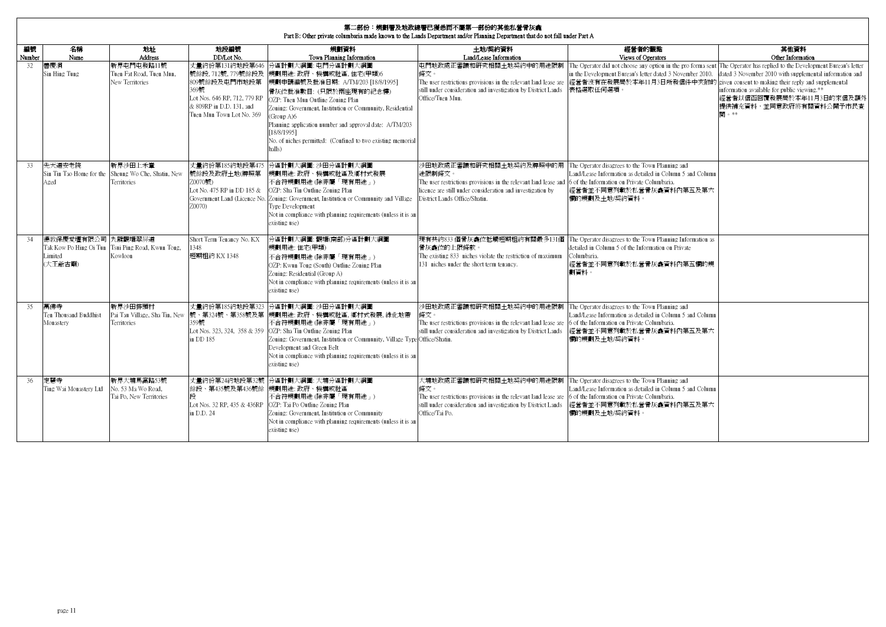|              | 第二部份:規劃署及地政總署已獲悉而不屬第一部份的其他私營骨灰盒<br>Part B: Other private columbaria made known to the Lands Department and/or Planning Department that do not fall under Part A |                                                                |                                                                                                                                                         |                                                                                                                                                                                                                                                                                                                                                                                 |                                                                                                                                                                                                                                                                |                                                                                                                                                                                                                                                                                                                                                      |                                                                                                                                                                         |  |  |  |  |  |
|--------------|-----------------------------------------------------------------------------------------------------------------------------------------------------------------|----------------------------------------------------------------|---------------------------------------------------------------------------------------------------------------------------------------------------------|---------------------------------------------------------------------------------------------------------------------------------------------------------------------------------------------------------------------------------------------------------------------------------------------------------------------------------------------------------------------------------|----------------------------------------------------------------------------------------------------------------------------------------------------------------------------------------------------------------------------------------------------------------|------------------------------------------------------------------------------------------------------------------------------------------------------------------------------------------------------------------------------------------------------------------------------------------------------------------------------------------------------|-------------------------------------------------------------------------------------------------------------------------------------------------------------------------|--|--|--|--|--|
| 編號<br>Number | 名稱<br>Name                                                                                                                                                      | 地址<br><b>Address</b>                                           | 地段編號<br>DD/Lot No.                                                                                                                                      | 規劃資料<br>Town Planning Information                                                                                                                                                                                                                                                                                                                                               | 土地/契約資料<br>Land/Lease Information                                                                                                                                                                                                                              | 經營者的觀點<br>Views of Operators                                                                                                                                                                                                                                                                                                                         | 其他資料<br>Other Information                                                                                                                                               |  |  |  |  |  |
| 32           | 善慶洞<br>Sin Hing Tung                                                                                                                                            | 新界屯門屯發路11號<br>Tuen Fat Road, Tuen Mun.<br>New Territories      | 丈量約份第131約地段第646<br>號餘段, 712號, 779號餘段及<br>809號餘段及屯門市地段第<br>369號<br>Lot Nos. 646 RP, 712, 779 RP<br>& 809RP in D.D. 131, and<br>Tuen Mun Town Lot No. 369 | 分區計劃大綱圖: 屯門分區計劃大綱圖<br>規劃用途: 政府、機構或社區, 住宅(甲類)6<br>規劃申請編號及批准日期: A/TM/203 [18/8/1995]<br>骨灰位批准數目: (只限於兩座現有的紀念樓)<br>OZP: Tuen Mun Outline Zoning Plan<br>Zoning: Government, Institution or Community, Residential<br>(Group A)6<br>Planning application number and approval date: A/TM/203<br>[18/8/1995]<br>No. of niches permitted: (Confined to two existing memorial<br>halls) | 屯門地政處正審議和研究相關土地契約中的用涂限制<br>條文。<br>still under consideration and investigation by District Lands<br>Office/Tuen Mun.                                                                                                                                            | The Operator did not choose any option in the pro forma sent The Operator has replied to the Development Bureau's letter<br>in the Development Bureau's letter dated 3 November 2010.<br>The user restrictions provisions in the relevant land lease are 經營者沒有在發展局於本年11月3日所發信件中夾附的 given consent to making their reply and supplemental<br>表格選取任何選項。 | dated 3 November 2010 with supplemental information and<br>information available for public viewing.**<br>經營者以信函回覆發展局於本年11月3日的來信及額外<br>提供補充資料,並同意政府將有關資料公開予市民查<br>閉 。** |  |  |  |  |  |
| 33           | 先天道安老院<br>Sin Tin Tao Home for the<br>Aged                                                                                                                      | 新界沙田上禾輋<br>Sheung Wo Che, Shatin, New<br>Territories           | 丈量約份第185約地段第475<br>號餘段及政府土地(牌照第<br>70070號)<br>Lot No. 475 RP in DD 185 &<br>70070)                                                                      | 分區計劃大綱圖: 沙田分區計劃大綱圖<br>規劃用途: 政府、機構或社區及鄉村式發展<br>不合符規劃用途 (除非屬「現有用途」)<br>OZP: Sha Tin Outline Zoning Plan<br>Government Land (Licence No. Zoning: Government, Institution or Community and Village<br>Type Development<br>Not in compliance with planning requirements (unless it is an<br>existing use)                                                                            | 沙田地政處正審議和研究相關土地契約及牌照中的用<br>涂限制條文<br>The user restrictions provisions in the relevant land lease and $\overline{6}$ of the Information on Private Columbaria.<br>licence are still under consideration and investigation by<br>District Lands Office/Shatin.    | The Operator disagrees to the Town Planning and<br>Land/Lease Information as detailed in Column 5 and Column<br>經營者並不同意列載於私營骨灰龕資料內第五及第六<br>欄的規劃及土地/契約資料。                                                                                                                                                                                             |                                                                                                                                                                         |  |  |  |  |  |
| 34           | 德教保慶愛壇有限公司 九龍觀塘翠屏道<br>Limited<br>(大王爺古廟)                                                                                                                        | Tak Kow Po Hing Oi Tun Tsui Ping Road, Kwun Tong,<br>Kowloon   | Short Term Tenancy No. KX<br>348<br>短期租約 KX 1348                                                                                                        | 分區計劃大綱圖:觀塘(南部)分區計劃大綱圖<br>規劃用涂:住字(甲類)<br>不合符規劃用涂 (除非屬「現有用涂」)<br>OZP: Kwun Tong (South) Outline Zoning Plan<br>Zoning: Residential (Group A)<br>Not in compliance with planning requirements (unless it is an<br>existing use)                                                                                                                                                    | 現有共約833個骨灰龕位抵觸短期租約有關最多131個<br>骨灰龕位的上限條款。<br>The existing 833 niches violate the restriction of maximum<br>131 niches under the short term tenancy.                                                                                                             | The Operator disagrees to the Town Planning Information as<br>detailed in Column 5 of the Information on Private<br>Columbaria.<br>經營者並不同意列載於私營骨灰龕資料內第五欄的規<br>劃資料。                                                                                                                                                                                   |                                                                                                                                                                         |  |  |  |  |  |
| 35           | 萬佛寺<br>Ten Thousand Buddhist<br>Monastery                                                                                                                       | 新界沙田排頭村<br>Pai Tau Village, Sha Tin, New<br><b>Territories</b> | 丈量約份第185約地段第323<br>號、第324號、第358號及第<br>359號<br>in DD 185                                                                                                 | 分區計劃大綱圖: 沙田分區計劃大綱圖<br>規劃用涂: 政府、機構或社區, 鄉村式發展, 綠化地帶<br>不合符規劃用涂 (除非屬「現有用涂」)<br>Lot Nos. 323, 324, 358 & 359 OZP: Sha Tin Outline Zoning Plan<br>Zoning: Government, Institution or Community, Village Type Office/Shatin.<br>Development and Green Belt<br>Not in compliance with planning requirements (unless it is an<br>existing use)                                          | 沙田地政處正審議和研究相關土地契約中的用途限制 The Operator disagrees to the Town Planning and<br>條文。<br>The user restrictions provisions in the relevant land lease are 6 of the Information on Private Columbaria.<br>still under consideration and investigation by District Lands | Land/Lease Information as detailed in Column 5 and Column<br>經營者並不同意列載於私營骨灰龕資料內第五及第六<br>欄的規劃及土地/契約資料。                                                                                                                                                                                                                                                |                                                                                                                                                                         |  |  |  |  |  |
| 36           | 完禁寺<br>Ting Wai Monastery Ltd                                                                                                                                   | 新界大埔馬窩路53號<br>No. 53 Ma Wo Road.<br>Tai Po, New Territories    | 餘段、第435號及第436號餘<br>Lot Nos. 32 RP, 435 & 436RP<br>in D.D. 24                                                                                            | 丈量約份第24約地段第32號 分區計劃大綱圖: 大埔分區計劃大綱圖<br>規劃用涂: 政府、機構或社區<br>不合符規劃用途 (除非屬「現有用途」)<br>OZP: Tai Po Outline Zoning Plan<br>Zoning: Government, Institution or Community<br>Not in compliance with planning requirements (unless it is an<br>existing use)                                                                                                                                 | 大埔地政處正審議和研究相關土地契約中的用途限制 The Operator disagrees to the Town Planning and<br>條文。<br>The user restrictions provisions in the relevant land lease are<br>still under consideration and investigation by District Lands<br>Office/Tai Po.                           | Land/Lease Information as detailed in Column 5 and Column<br>6 of the Information on Private Columbaria.<br>經營者並不同意列載於私營骨灰龕資料內第五及第六<br>欄的規劃及土地/契約資料。                                                                                                                                                                                                 |                                                                                                                                                                         |  |  |  |  |  |

٦

Е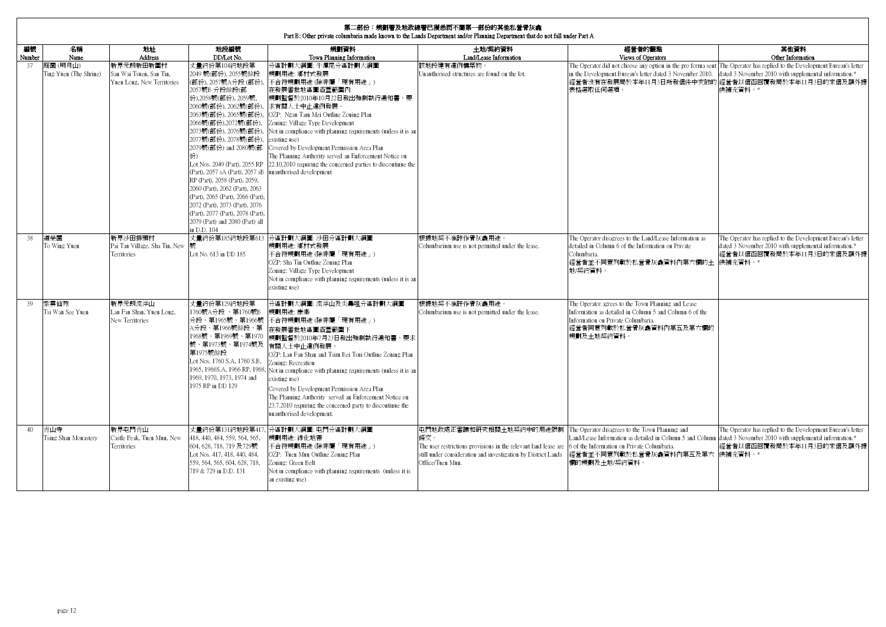|                 | <b>第二部份:規劃署及地政總署已獲悉而不屬第一部份的其他私營骨灰龕</b><br>Part B: Other private columbaria made known to the Lands Department and/or Planning Department that do not fall under Part A |                                                                    |                                                                                                                                                                                                                                                                                                                                                                                                                                                                                                                                                        |                                                                                                                                                                                                                                                                                                                                                                                                                                                                                                                 |                                                                                                                                                                                        |                                                                                                                                                                                                                                                               |                                                                                                                                                                                        |  |  |  |  |
|-----------------|------------------------------------------------------------------------------------------------------------------------------------------------------------------------|--------------------------------------------------------------------|--------------------------------------------------------------------------------------------------------------------------------------------------------------------------------------------------------------------------------------------------------------------------------------------------------------------------------------------------------------------------------------------------------------------------------------------------------------------------------------------------------------------------------------------------------|-----------------------------------------------------------------------------------------------------------------------------------------------------------------------------------------------------------------------------------------------------------------------------------------------------------------------------------------------------------------------------------------------------------------------------------------------------------------------------------------------------------------|----------------------------------------------------------------------------------------------------------------------------------------------------------------------------------------|---------------------------------------------------------------------------------------------------------------------------------------------------------------------------------------------------------------------------------------------------------------|----------------------------------------------------------------------------------------------------------------------------------------------------------------------------------------|--|--|--|--|
| 編號<br>Number    | 名稱<br>Name                                                                                                                                                             | 地址<br>Address                                                      | 地段編號<br>DD/Lot No.                                                                                                                                                                                                                                                                                                                                                                                                                                                                                                                                     | 規劃資料<br>Town Planning Information                                                                                                                                                                                                                                                                                                                                                                                                                                                                               | 土地/契約資料<br>Land/Lease Information                                                                                                                                                      | 經營者的觀點<br>Views of Operators                                                                                                                                                                                                                                  | 其他資料<br>Other Information                                                                                                                                                              |  |  |  |  |
| 37              | 庭園(明月山)<br>Ting Yuen (The Shrine)                                                                                                                                      | 新界元朗新田新圍村<br>San Wai Tsuen, San Tin,<br>Yuen Long, New Territories | 丈量約份第104約地段第<br>2049 號(部份), 2055號餘段<br>(部份), 2057號A分段 (部份),<br>2057號B 分段餘段(部<br>份),2058號(部份), 2059號,<br>2060號(部份), 2062號(部份),<br>2063號(部份), 2065號(部份),<br>2066號(部份),2072號(部份),<br>2073號(部份), 2076號(部份),<br>2077號(部份), 2078號(部份),<br>2079號(部份) and 2080號(部<br>(Part), 2057 sA (Part), 2057 sB unauthorised development<br>RP (Part), 2058 (Part), 2059,<br>2060 (Part), 2062 (Part), 2063<br>(Part), 2065 (Part), 2066 (Part),<br>2072 (Part), 2073 (Part), 2076<br>(Part), 2077 (Part), 2078 (Part),<br>2079 (Part) and 2080 (Part) all<br>in D.D. 104 | 分區計劃大綱圖: 牛潭尾分區計劃大綱圖<br>規劃用途: 鄉村式發展<br>不合符規劃用途 (除非屬「現有用途」)<br>在發展審批地區圖涵蓋範圍內<br>規劃監督於2010年10月22日發出強制執行通知書,要<br>求有關人士中止違例發展<br>OZP: Ngau Tam Mei Outline Zoning Plan<br>Zoning: Village Type Development<br>Not in compliance with planning requirements (unless it is an<br>existing use)<br>Covered by Development Permission Area Plan<br>The Planning Authority served an Enforcement Notice on<br>Lot Nos. 2049 (Part), 2055 RP 22.10.2010 requiring the concerned parties to discontinue the                 | 該地段建有違例構築物。<br>Unauthorised structures are found on the lot.                                                                                                                           | The Operator did not choose any option in the pro forma sent<br>in the Development Bureau's letter dated 3 November 2010.<br>表格選取任何選項。                                                                                                                        | The Operator has replied to the Development Bureau's letter<br>dated 3 November 2010 with supplemental information.*<br>經營者沒有在發展局於本年11月3日所發信件中夾附的 經營者以信函回覆發局於本年11月3日的來信及額外提<br>供補充資料。* |  |  |  |  |
| 38              | 道榮園<br>To Wing Yuen                                                                                                                                                    | 新界沙田排頭村<br>Pai Tau Village, Sha Tin, New<br><b>Territories</b>     | 鼎<br>Lot No. 613 in DD 185                                                                                                                                                                                                                                                                                                                                                                                                                                                                                                                             | 丈量約份第185約地段第613 分區計劃大綱圖: 沙田分區計劃大綱圖<br>規劃用涂: 鄉村式發展<br>不合符規劃用途 (除非屬「現有用途」)<br>OZP: Sha Tin Outline Zoning Plan<br>Zoning: Village Type Development<br>Not in compliance with planning requirements (unless it is an<br>existing use)                                                                                                                                                                                                                                                                              | 根據地契不准許作骨灰龕用途。<br>Columbarium use is not permitted under the lease.                                                                                                                    | The Operator disagrees to the Land/Lease Information as<br>detailed in Column 6 of the Information on Private<br>Columbaria.<br>經營者並不同意列載於私營骨灰龕資料內第六欄的土 供補充資料。*<br>地/契約資料。                                                                                    | The Operator has replied to the Development Bureau's letter<br>dated 3 November 2010 with supplemental information.*<br>經營者以信函回覆發局於本年11月3日的來信及額外提                                      |  |  |  |  |
| 39              | 紫雲仙苑<br>Tsi Wan See Yuen                                                                                                                                               | 新界元朗流浮山<br>Lau Fau Shan, Yuen Long,<br>New Territories             | 丈量約份第129約地段第<br>1760號A分段、第1760號B<br>分段、第1965號、第1966號<br>A分段、第1966號餘段、第<br>1968號、第1969號、第1970<br>號、第1973號、第1974號及 有關人十中止違例發展。<br>第1975號餘段<br>Lot Nos. 1760 S.A. 1760 S.B.<br>1969, 1970, 1973, 1974 and<br>1975 RP in DD 129                                                                                                                                                                                                                                                                                                                            | 分區計劃大綱圖: 流浮山及尖鼻咀分區計劃大綱圖<br>規劃用涂: 康樂<br>不合符規劃用途 (除非屬「現有用途」)<br>在發展審批地區圖涵蓋範圍下<br>規劃監督於2010年7月23日發出強制執行通知書,要求<br>OZP: Lau Fau Shan and Tsim Bei Tsui Outline Zoning Plan<br>Zoning: Recreation<br>1965, 1966S.A, 1966 RP, 1968, Not in compliance with planning requirements (unless it is an<br>existing use)<br>Covered by Development Permission Area Plan<br>The Planning Authority served an Enforcement Notice on<br>23.7.2010 requiring the concerned party to discontinue the<br>unauthorised development. | 根據地契不准許作骨灰龕用涂。<br>Columbarium use is not permitted under the lease.                                                                                                                    | The Operator agrees to the Town Planning and Lease<br>Information as detailed in Column 5 and Column 6 of the<br>Information on Private Columbaria.<br>經營者同意列載於私營骨灰龕資料內第五及第六欄的<br>規劃及十地契約資料。                                                                  |                                                                                                                                                                                        |  |  |  |  |
| 40 <sup>°</sup> | 青山寺<br>Tsing Shan Monastery                                                                                                                                            | 新界市門青山<br>Castle Peak, Tuen Mun, New<br><b>Cerritories</b>         | 丈量約份第131約地段第417,<br>418, 440, 484, 559, 564, 565,<br>604, 628, 718, 719 及729號<br>Lot Nos. 417, 418, 440, 484,<br>559, 564, 565, 604, 628, 718,<br>719 & 729 in D.D. 131                                                                                                                                                                                                                                                                                                                                                                                | 分區計劃大綱圖: 屯門分區計劃大綱圖<br>規劃用涂: 綠化地帶<br>不合符規劃用途 (除非屬「現有用途」)<br>OZP: Tuen Mun Outline Zoning Plan<br>Zoning: Green Belt<br>Not in compliance with planning requirements (unless it is<br>an existing use)                                                                                                                                                                                                                                                                                                            | 屯門地政處正審議和研究相關土地契約中的用途限制<br>條文。<br>The user restrictions provisions in the relevant land lease are<br>still under consideration and investigation by District Lands<br>Office/Tuen Mun. | The Operator disagrees to the Town Planning and<br>Land/Lease Information as detailed in Column 5 and Column dated 3 November 2010 with supplemental information.*<br>6 of the Information on Private Columbaria.<br>經營者並不同意列載於私營骨灰龕資料內第五及第六<br>欄的規劃及十地/契約資料。 | The Operator has replied to the Development Bureau's letter<br>經營者以信函回覆發局於本年11月3日的來信及額外提<br>供補充資料。*                                                                                    |  |  |  |  |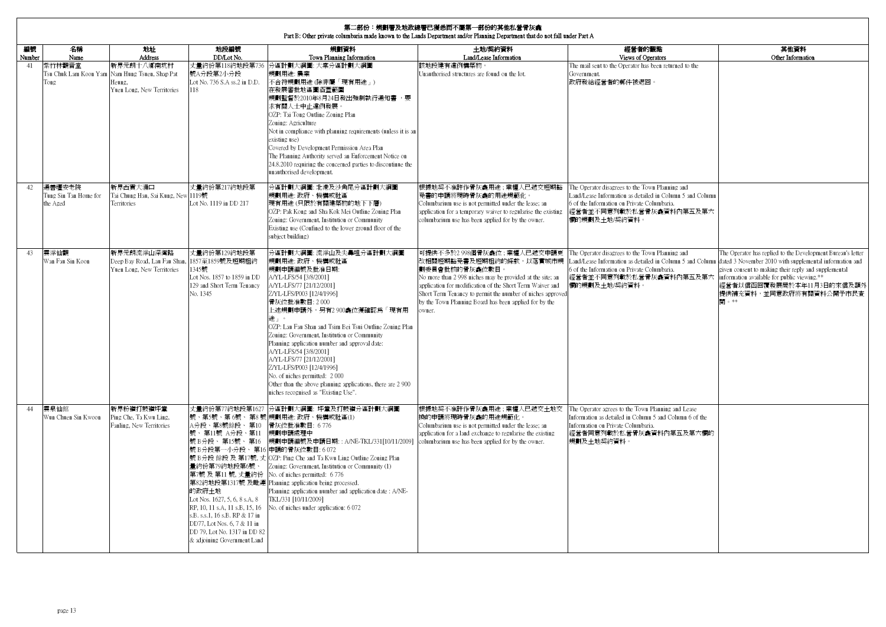| 第二部份:規劃署及地政總署已獲悉而不屬第一部份的其他私營骨灰龕<br>Part B: Other private columbaria made known to the Lands Department and/or Planning Department that do not fall under Part A |                                             |                                                                                                      |                                                                                                                                                                                                                                                                                                                                        |                                                                                                                                                                                                                                                                                                                                                                                                                                                                                                                                                                                           |                                                                                                                                                                                                                                                                                                                                    |                                                                                                                                                                                                                                                                 |                                                                                                                                                                                                                                     |  |  |  |
|-----------------------------------------------------------------------------------------------------------------------------------------------------------------|---------------------------------------------|------------------------------------------------------------------------------------------------------|----------------------------------------------------------------------------------------------------------------------------------------------------------------------------------------------------------------------------------------------------------------------------------------------------------------------------------------|-------------------------------------------------------------------------------------------------------------------------------------------------------------------------------------------------------------------------------------------------------------------------------------------------------------------------------------------------------------------------------------------------------------------------------------------------------------------------------------------------------------------------------------------------------------------------------------------|------------------------------------------------------------------------------------------------------------------------------------------------------------------------------------------------------------------------------------------------------------------------------------------------------------------------------------|-----------------------------------------------------------------------------------------------------------------------------------------------------------------------------------------------------------------------------------------------------------------|-------------------------------------------------------------------------------------------------------------------------------------------------------------------------------------------------------------------------------------|--|--|--|
| 編號<br>Number                                                                                                                                                    | 名稱<br>Name                                  | 地址<br>Address                                                                                        | 地段編號<br>DD/Lot No.                                                                                                                                                                                                                                                                                                                     | 規劃資料<br>Town Planning Information                                                                                                                                                                                                                                                                                                                                                                                                                                                                                                                                                         | 土地/契約資料<br>Land/Lease Information                                                                                                                                                                                                                                                                                                  | 經營者的觀點<br>Views of Operators                                                                                                                                                                                                                                    | 其他畜料<br>Other Information                                                                                                                                                                                                           |  |  |  |
| 41                                                                                                                                                              | 紫竹林觀音堂<br>Tong                              | 新界元朗十八鄉南坑村<br>Tsu Chuk Lam Koon Yam Nam Hung Tsuen, Shap Pat<br>Heung,<br>Yuen Long, New Territories | 號A分段第2小分段<br>Lot No. 736 S.A ss.2 in D.D.                                                                                                                                                                                                                                                                                              | 丈量約份第118約地段第736 分區計劃大綱圖: 大棠分區計劃大綱圖<br>規劃用涂: 農業<br>不合符規劃用途 (除非屬「現有用途」)<br>在發展審批地區圖涵蓋範圍<br>規劃監督於2010年8月24日發出強制執行通知書,要<br>求有關人士中止違例發展<br>OZP: Tai Tong Outline Zoning Plan<br>Zoning: Agriculture<br>Not in compliance with planning requirements (unless it is an<br>existing use)<br>Covered by Development Permission Area Plan<br>The Planning Authority served an Enforcement Notice on<br>24.8.2010 requiring the concerned parties to discontinue the<br>unauthorised development.                                                                                                    | 該地段建有違例構築物。<br>Jnauthorised structures are found on the lot.                                                                                                                                                                                                                                                                       | The mail sent to the Operator has been returned to the<br>Government.<br>政府發給經營者的郵件被退回。                                                                                                                                                                         |                                                                                                                                                                                                                                     |  |  |  |
| 42.                                                                                                                                                             | 通善壇安老院<br>Tung Sin Tan Home for<br>the Aged | 新界西貢大涌口<br>Tai Chung Hau, Sai Kung, New<br>Territories                                               | 丈量約份第217約地段第<br>1119號<br>Lot No. 1119 in DD 217                                                                                                                                                                                                                                                                                        | 分區計劃大綱圖: 北港及沙角尾分區計劃大綱圖<br>規劃用途: 政府、機構或社區<br>現有用涂(只限於有關建築物的地下下層)<br>OZP: Pak Kong and Sha Kok Mei Outline Zoning Plan<br>Zoning: Government, Institution or Community<br>Existing use (Confined to the lower ground floor of the<br>subject building)                                                                                                                                                                                                                                                                                                                                      | 限據地契不准許作骨灰龕用途 ; 業權人已遞交短期豁<br>免書的申請將現時骨灰龕的用途規範化。<br>Columbarium use is not permitted under the lease: an<br>application for a temporary waiver to regularise the existing<br>olumbarium use has been applied for by the owner.                                                                                                      | The Operator disagrees to the Town Planning and<br>Land/Lease Information as detailed in Column 5 and Column<br>6 of the Information on Private Columbaria.<br>經營者並不同意列載於私營骨灰龕資料內第五及第六<br>關的規劃及土地/契約資料。                                                         |                                                                                                                                                                                                                                     |  |  |  |
| 43                                                                                                                                                              | 雲浮仙觀<br>Wan Fau Sin Koon                    | 新界元朗流浮山深灣路<br>Deep Bay Road, Lau Fau Shan,<br>Yuen Long, New Territories                             | 丈量約份第129約地段第<br>1857至1859號及短期租約<br>1345號<br>Lot Nos. 1857 to 1859 in DD<br>129 and Short Term Tenancy<br>No. 1345                                                                                                                                                                                                                      | 分區計劃大綱圖: 流浮山及尖鼻咀分區計劃大綱圖<br>規劃用涂: 政府、機構或社區<br>規劃申請編號及批准日期:<br>A/YL-LFS/54 [3/8/2001]<br>A/YL-LFS/77 [21/12/2001]<br>Z/YL-LFS/P003 [12/4/1996]<br>骨灰位批准數目: 2000<br>上述規劃申請外,另有2 900龕位獲確認為「現有用<br>途」。<br>OZP: Lau Fau Shan and Tsim Bei Tsui Outline Zoning Plan<br>Zoning: Government, Institution or Community<br>Planning application number and approval date:<br>A/YL-LFS/54 [3/8/2001]<br>A/YL-LFS/77 [21/12/2001]<br>Z/YL-LFS/P003 [12/4/1996]<br>No. of niches permitted: 2000<br>Other than the above planning applications, there are 2 900<br>niches recognised as "Existing Use". | 可提供不多於2 998個骨灰龕位;業權人已遞交申請更<br>改相關短期豁免書及短期租約的條款,以落實城市規<br>劃委員會批核的骨灰龕位數目。<br>No more than 2 998 niches may be provided at the site; an<br>application for modification of the Short Term Waiver and<br>Short Term Tenancy to permit the number of niches approved<br>by the Town Planning Board has been applied for by the<br>wner. | The Operator disagrees to the Town Planning and<br>Land/Lease Information as detailed in Column 5 and Column dated 3 November 2010 with supplemental information and<br>6 of the Information on Private Columbaria.<br>經營者並不同意列載於私營骨灰龕資料內第五及第六<br>欄的規劃及十地/契約資料。 | The Operator has replied to the Development Bureau's letter<br>given consent to making their reply and supplemental<br>information available for public viewing.**<br>經營者以信函回覆發展局於本年11月3日的來信及額外<br>提供補充資料,並同意政府將有關資料公開予市民查<br>閉 。** |  |  |  |
| 44                                                                                                                                                              | 雲泉仙館<br>Wun Chuen Sin Kwoon                 | 新界粉嶺打鼓嶺坪輋<br>Ping Che, Ta Kwu Ling,<br>Fanling, New Territories                                      | 丈量約份第77約地段第1627<br>A分段、第8號餘段、 第10<br>號、第11號 A分段、第11<br>號 B分段、 第15號、 第16<br>號 B分段第一小分段、第16 申請的骨灰位數目: 6 072<br>量約份第79約地段第6號、<br>的政府土地<br>Lot Nos. 1627, 5, 6, 8 s.A, 8<br>RP, 10, 11 s.A, 11 s.B, 15, 16<br>s.B. s.s.1, 16 s.B. RP & 17 in<br>DD77, Lot Nos. 6, 7 & 11 in<br>DD 79, Lot No. 1317 in DD 82<br>& adjoining Government Land | 分區計劃大綱圖: 坪輋及打鼓嶺分區計劃大綱圖<br>號、第5號、第 6號、 第8 號 規劃用途: 政府、機構或社區(1)<br>骨灰位批准數目: 6776<br>規劃申請處理中<br>規劃申請編號及申請日期:: A/NE-TKL/331[10/11/2009]<br>號 B分段 餘段 及 第17號, 丈 OZP: Ping Che and Ta Kwu Ling Outline Zoning Plan<br>Zoning: Government, Institution or Community (1)<br>第7號 及第11號, 丈量約份 No. of niches permitted: 6776<br>第82約地段第1317號 及毗連 Planning application being processed.<br>Planning application number and application date: A/NE-<br>TKL/331 [10/11/2009]<br>No. of niches under application: 6072                                                                                     | 根據地契不准許作骨灰龕用途;業權人已遞交土地交<br>換的申請將現時骨灰龕的用途規範化。<br>Columbarium use is not permitted under the lease; an<br>application for a land exchange to regularise the existing<br>columbarium use has been applied for by the owner.                                                                                                           | The Operator agrees to the Town Planning and Lease<br>Information as detailed in Column 5 and Column 6 of the<br>Information on Private Columbaria.<br>經營者同意列載於私營骨灰龕資料內第五及第六欄的<br>規劃及土地契約資料。                                                                    |                                                                                                                                                                                                                                     |  |  |  |

 $\mathbf{I}$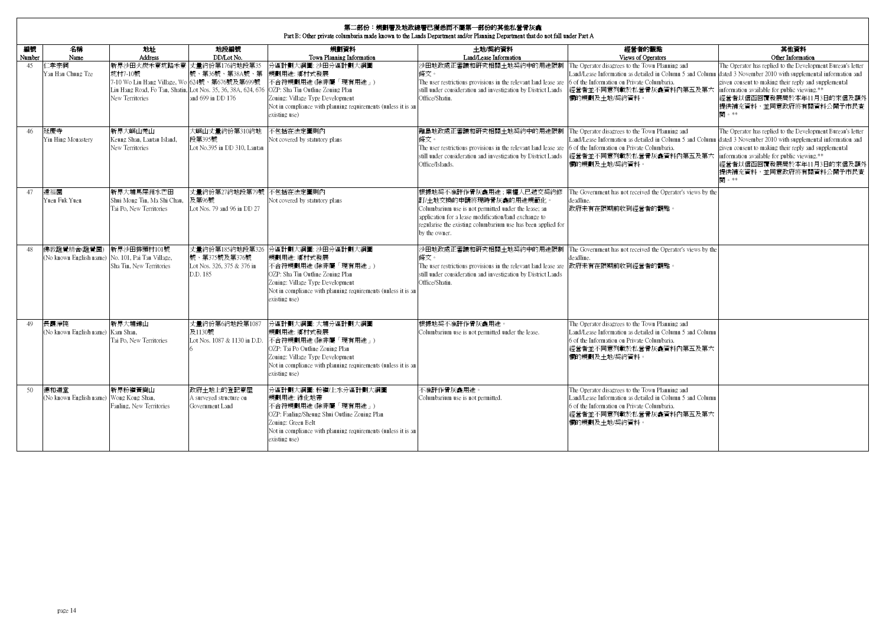| 第二部份:規劃署及地政總署已獲悉而不屬第一部份的其他私營骨灰龕<br>Part B: Other private columbaria made known to the Lands Department and/or Planning Department that do not fall under Part A |                                                 |                                                                                                            |                                                                            |                                                                                                                                                                                                                                                                                  |                                                                                                                                                                                                                                                     |                                                                                                                                                                                                                                                      |                                                                                                                                                                                                                                                |  |  |  |  |
|-----------------------------------------------------------------------------------------------------------------------------------------------------------------|-------------------------------------------------|------------------------------------------------------------------------------------------------------------|----------------------------------------------------------------------------|----------------------------------------------------------------------------------------------------------------------------------------------------------------------------------------------------------------------------------------------------------------------------------|-----------------------------------------------------------------------------------------------------------------------------------------------------------------------------------------------------------------------------------------------------|------------------------------------------------------------------------------------------------------------------------------------------------------------------------------------------------------------------------------------------------------|------------------------------------------------------------------------------------------------------------------------------------------------------------------------------------------------------------------------------------------------|--|--|--|--|
| 編號<br>Number                                                                                                                                                    | 名稱<br>Name                                      | 梅址<br>Address                                                                                              | 地段編號<br>DD/Lot No.                                                         | 規劃資料<br>Town Planning Information                                                                                                                                                                                                                                                | 土地/契約資料<br>Land/Lease Information                                                                                                                                                                                                                   | 經營者的觀點<br>Views of Operators                                                                                                                                                                                                                         | 其他資料<br>Other Information                                                                                                                                                                                                                      |  |  |  |  |
| 45                                                                                                                                                              | 二孝宗祠<br>Yan Hau Chung Tze                       | 新界沙田火炭禾寮坑路禾寮 丈量約份第176約地段第35<br>坑村7-10號<br>7-10 Wo Liu Hang Village, Wo 624號、第676號及第699號<br>New Territories | 號、第36號、第38A號、第<br>and 699 in DD 176                                        | 分區計劃大綱圖: 沙田分區計劃大綱圖<br>規劃用途: 鄉村式發展<br>不合符規劃用途 (除非屬「現有用途」)<br>Liu Hang Road, Fo Tan, Shatin, Lot Nos. 35, 36, 38A, 624, 676 OZP: Sha Tin Outline Zoning Plan<br>Zoning: Village Type Development<br>Not in compliance with planning requirements (unless it is an<br>existing use) | 沙田地政處正審議和研究相關土地契約中的用涂限制<br>條文。<br>The user restrictions provisions in the relevant land lease are<br>still under consideration and investigation by District Lands<br>Office/Shatin.                                                                | The Operator disagrees to the Town Planning and<br>Land/Lease Information as detailed in Column 5 and Column<br>6 of the Information on Private Columbaria.<br>經營者並不同意列載於私營骨灰龕資料內第五及第六  information available for public viewing.**<br>欄的規劃及土地/契約資料。 | The Operator has replied to the Development Bureau's letter<br>dated 3 November 2010 with supplemental information and<br>given consent to making their reply and supplemental<br>經營者以信函回覆發展局於本年11月3日的來信及額外<br>提供補充資料,並同意政府將有關資料公開予市民查<br>閉。** |  |  |  |  |
| 46                                                                                                                                                              | 延慶寺<br>Yin Hing Monastery                       | 新界大嶼山羌山<br>Keung Shan, Lantau Island,<br>New Territories                                                   | 大嶼山丈量約份第310約地<br>段第395號<br>Lot No.395 in DD 310, Lantau                    | 不包括在法定圖則內<br>Not covered by statutory plans                                                                                                                                                                                                                                      | 離島地政處正審議和研究相關土地契約中的用途限制<br>條文。<br>The user restrictions provisions in the relevant land lease are 6 of the Information on Private Columbaria.<br>still under consideration and investigation by District Lands<br>Office/Islands.                   | The Operator disagrees to the Town Planning and<br>Land/Lease Information as detailed in Column 5 and Column<br>經營者並不同意列載於私營骨灰龕資料內第五及第六 information available for public viewing.**<br>欄的規劃及土地/契約資料。                                                 | The Operator has replied to the Development Bureau's letter<br>dated 3 November 2010 with supplemental information and<br>given consent to making their reply and supplemental<br>經營者以信函回覆發展局於本年11月3日的來信及額外<br>提供補充資料,並同意政府將有關資料公開予市民查<br>閣。** |  |  |  |  |
| 47                                                                                                                                                              | 遠福園<br>Yuen Fuk Yuen                            | 新界大埔馬屎洲水芒田<br>Shui Mong Tin, Ma Shi Chau,<br>Tai Po. New Territories                                       | 丈量約份第27約地段第79號<br>及第96號<br>Lot Nos. 79 and 96 in DD 27                     | 不包括在法定圖則內<br>Not covered by statutory plans                                                                                                                                                                                                                                      | 根據地契不准許作骨灰龕用涂;業權人已遞交契約修<br>訂/十地交換的申請將現時骨灰龕的用涂規範化。<br>Columbarium use is not permitted under the lease; an<br>application for a lease modification/land exchange to<br>regularise the existing columbarium use has been applied for<br>by the owner. | The Government has not received the Operator's views by the<br>deadline.<br>政府未有在限期前收到經營者的觀點。                                                                                                                                                        |                                                                                                                                                                                                                                                |  |  |  |  |
| 48                                                                                                                                                              | 佛教證覺精舍(證覺園)                                     | 新界沙田排頭村101號<br>(No known English name) No. 101, Pai Tau Village,<br>Sha Tin, New Territories               | 丈量約份第185約地段第326<br>號、第375號及第376號<br>Lot Nos. 326, 375 & 376 in<br>D.D. 185 | 分區計劃大綱圖: 沙田分區計劃大綱圖<br>規劃用涂: 鄉村式發展<br>不合符規劃用涂 (除非屬「現有用涂」)<br>OZP: Sha Tin Outline Zoning Plan<br>Zoning: Village Type Development<br>Not in compliance with planning requirements (unless it is an<br>existing use)                                                               | 沙田地政處正審議和研究相關十地契約中的用涂限制<br>條文。<br>The user restrictions provisions in the relevant land lease are<br>still under consideration and investigation by District Lands<br>Office/Shatin.                                                                | The Government has not received the Operator's views by the<br>deadline.<br>政府未有在限期前收到經營者的觀點。                                                                                                                                                        |                                                                                                                                                                                                                                                |  |  |  |  |
| 49                                                                                                                                                              | 長霞淨院<br>(No known English name) Kam Shan,       | 新界大埔錦山<br>Tai Po. New Territories                                                                          | 丈量約份第6約地段第1087<br>及1130號<br>Lot Nos. 1087 & 1130 in D.D.                   | 分區計劃大綱圖:大埔分區計劃大綱圖<br>規劃用涂: 鄉村式發展<br>不合符規劃用涂 (除非屬「現有用涂」)<br>OZP: Tai Po Outline Zoning Plan<br>Zoning: Village Type Development<br>Not in compliance with planning requirements (unless it is an<br>existing use)                                                                 | 根據地契不准許作骨灰龕用涂。<br>Columbarium use is not permitted under the lease.                                                                                                                                                                                 | The Operator disagrees to the Town Planning and<br>Land/Lease Information as detailed in Column 5 and Column<br>6 of the Information on Private Columbaria.<br>經營者並不同意列載於私營骨灰龕資料內第五及第六<br>欄的規劃及土地/契約資料。                                              |                                                                                                                                                                                                                                                |  |  |  |  |
| 50                                                                                                                                                              | 德和道堂<br>(No known English name) Wong Kong Shan, | 新界粉嶺黃崗山<br>Fanling, New Territories                                                                        | 政府十地上的登記寮屋<br>A surveyed structure on<br>Government Land                   | 分區計劃大綱圖:粉嶺/上水分區計劃大綱圖<br>規劃用途: 綠化地帶<br>不合符規劃用途 (除非屬「現有用途」)<br>OZP: Fanling/Sheung Shui Outline Zoning Plan<br>Zoning: Green Belt<br>Not in compliance with planning requirements (unless it is an<br>existing use)                                                                | 不准許作骨灰龕用涂。<br>Columbarium use is not permitted.                                                                                                                                                                                                     | The Operator disagrees to the Town Planning and<br>Land/Lease Information as detailed in Column 5 and Column<br>6 of the Information on Private Columbaria.<br>經營者並不同意列載於私營骨灰龕資料內第五及第六<br>欄的規劃及+地/契約資料。                                              |                                                                                                                                                                                                                                                |  |  |  |  |

 $\mathbf{r}$